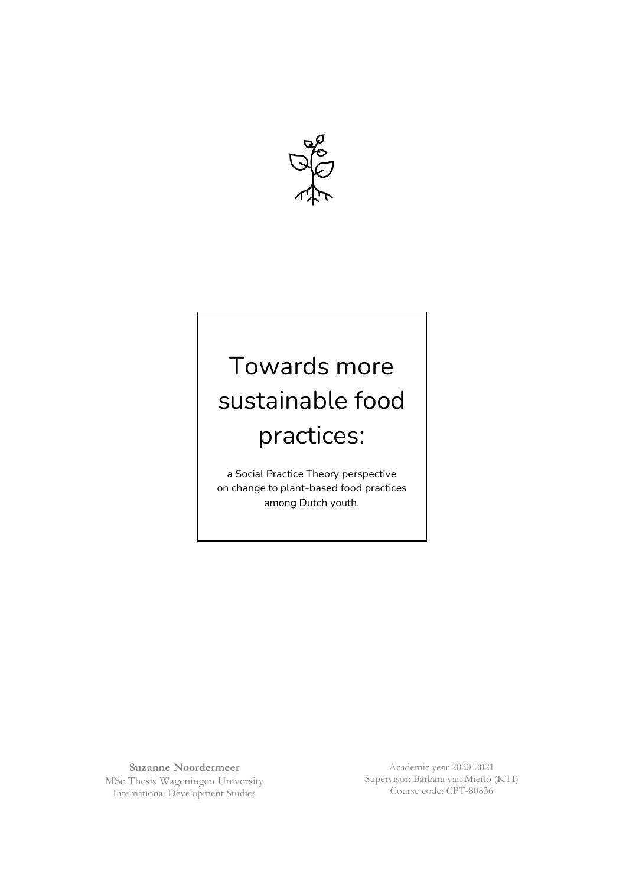

# Towards more sustainable food practices:

a Social Practice Theory perspective on change to plant-based food practices among Dutch youth.

**Suzanne Noordermeer** MSc Thesis Wageningen University International Development Studies

Academic year 2020-2021 Supervisor: Barbara van Mierlo (KTI) Course code: CPT-80836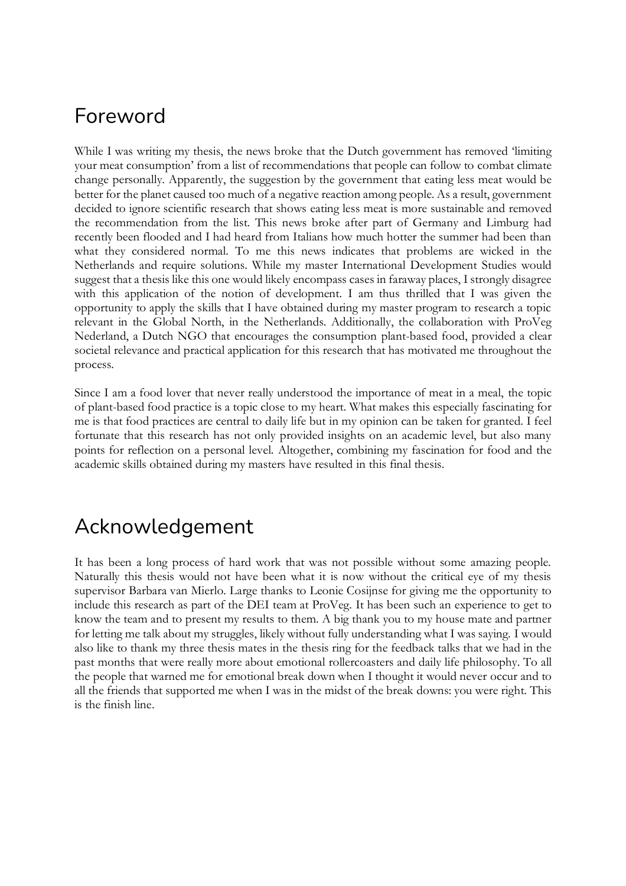## Foreword

While I was writing my thesis, the news broke that the Dutch government has removed 'limiting your meat consumption' from a list of recommendations that people can follow to combat climate change personally. Apparently, the suggestion by the government that eating less meat would be better for the planet caused too much of a negative reaction among people. As a result, government decided to ignore scientific research that shows eating less meat is more sustainable and removed the recommendation from the list. This news broke after part of Germany and Limburg had recently been flooded and I had heard from Italians how much hotter the summer had been than what they considered normal. To me this news indicates that problems are wicked in the Netherlands and require solutions. While my master International Development Studies would suggest that a thesis like this one would likely encompass cases in faraway places, I strongly disagree with this application of the notion of development. I am thus thrilled that I was given the opportunity to apply the skills that I have obtained during my master program to research a topic relevant in the Global North, in the Netherlands. Additionally, the collaboration with ProVeg Nederland, a Dutch NGO that encourages the consumption plant-based food, provided a clear societal relevance and practical application for this research that has motivated me throughout the process.

Since I am a food lover that never really understood the importance of meat in a meal, the topic of plant-based food practice is a topic close to my heart. What makes this especially fascinating for me is that food practices are central to daily life but in my opinion can be taken for granted. I feel fortunate that this research has not only provided insights on an academic level, but also many points for reflection on a personal level. Altogether, combining my fascination for food and the academic skills obtained during my masters have resulted in this final thesis.

## Acknowledgement

It has been a long process of hard work that was not possible without some amazing people. Naturally this thesis would not have been what it is now without the critical eye of my thesis supervisor Barbara van Mierlo. Large thanks to Leonie Cosijnse for giving me the opportunity to include this research as part of the DEI team at ProVeg. It has been such an experience to get to know the team and to present my results to them. A big thank you to my house mate and partner for letting me talk about my struggles, likely without fully understanding what I was saying. I would also like to thank my three thesis mates in the thesis ring for the feedback talks that we had in the past months that were really more about emotional rollercoasters and daily life philosophy. To all the people that warned me for emotional break down when I thought it would never occur and to all the friends that supported me when I was in the midst of the break downs: you were right. This is the finish line.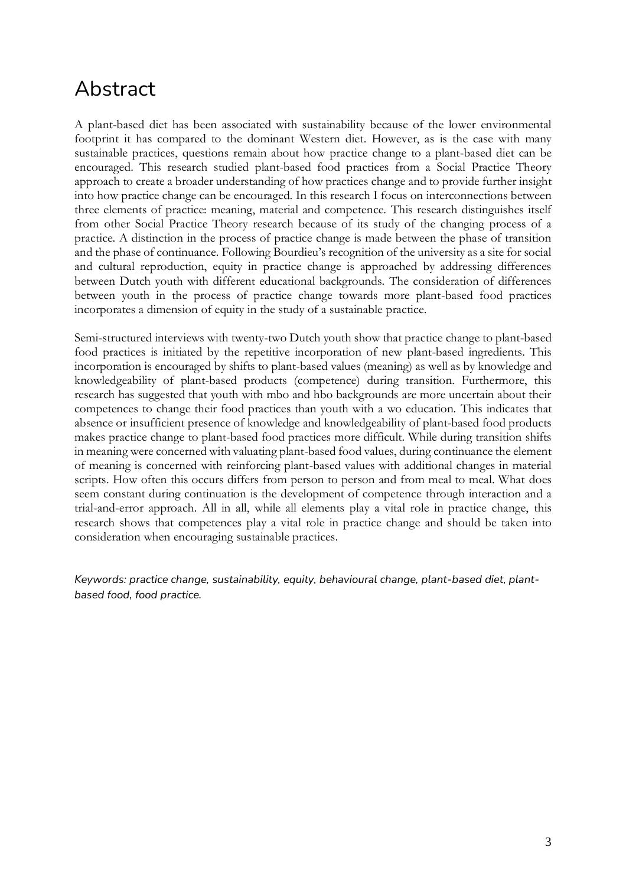## Abstract

A plant-based diet has been associated with sustainability because of the lower environmental footprint it has compared to the dominant Western diet. However, as is the case with many sustainable practices, questions remain about how practice change to a plant-based diet can be encouraged. This research studied plant-based food practices from a Social Practice Theory approach to create a broader understanding of how practices change and to provide further insight into how practice change can be encouraged. In this research I focus on interconnections between three elements of practice: meaning, material and competence. This research distinguishes itself from other Social Practice Theory research because of its study of the changing process of a practice. A distinction in the process of practice change is made between the phase of transition and the phase of continuance. Following Bourdieu's recognition of the university as a site for social and cultural reproduction, equity in practice change is approached by addressing differences between Dutch youth with different educational backgrounds. The consideration of differences between youth in the process of practice change towards more plant-based food practices incorporates a dimension of equity in the study of a sustainable practice.

Semi-structured interviews with twenty-two Dutch youth show that practice change to plant-based food practices is initiated by the repetitive incorporation of new plant-based ingredients. This incorporation is encouraged by shifts to plant-based values (meaning) as well as by knowledge and knowledgeability of plant-based products (competence) during transition. Furthermore, this research has suggested that youth with mbo and hbo backgrounds are more uncertain about their competences to change their food practices than youth with a wo education. This indicates that absence or insufficient presence of knowledge and knowledgeability of plant-based food products makes practice change to plant-based food practices more difficult. While during transition shifts in meaning were concerned with valuating plant-based food values, during continuance the element of meaning is concerned with reinforcing plant-based values with additional changes in material scripts. How often this occurs differs from person to person and from meal to meal. What does seem constant during continuation is the development of competence through interaction and a trial-and-error approach. All in all, while all elements play a vital role in practice change, this research shows that competences play a vital role in practice change and should be taken into consideration when encouraging sustainable practices.

*Keywords: practice change, sustainability, equity, behavioural change, plant-based diet, plantbased food, food practice.*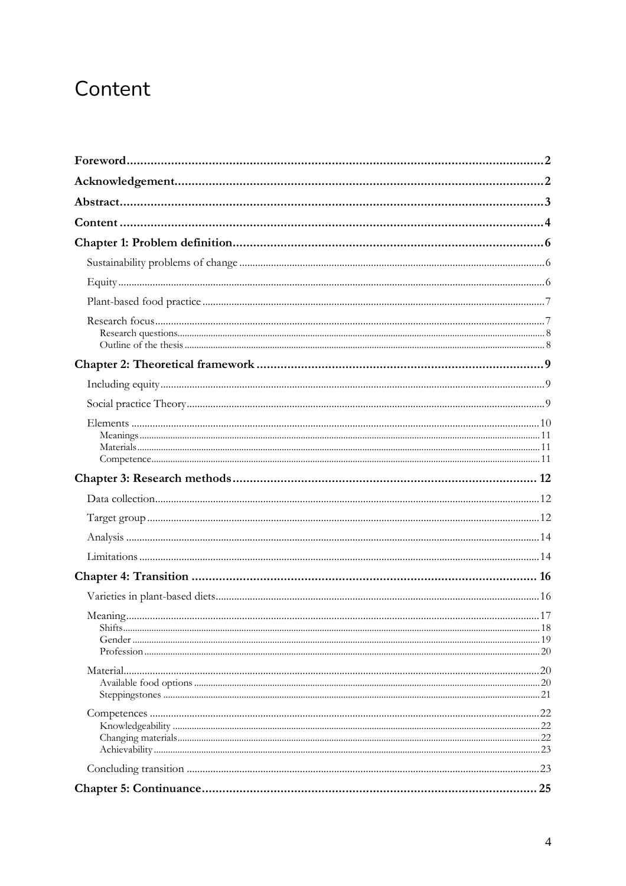## Content

| .18 |
|-----|
|     |
|     |
|     |
|     |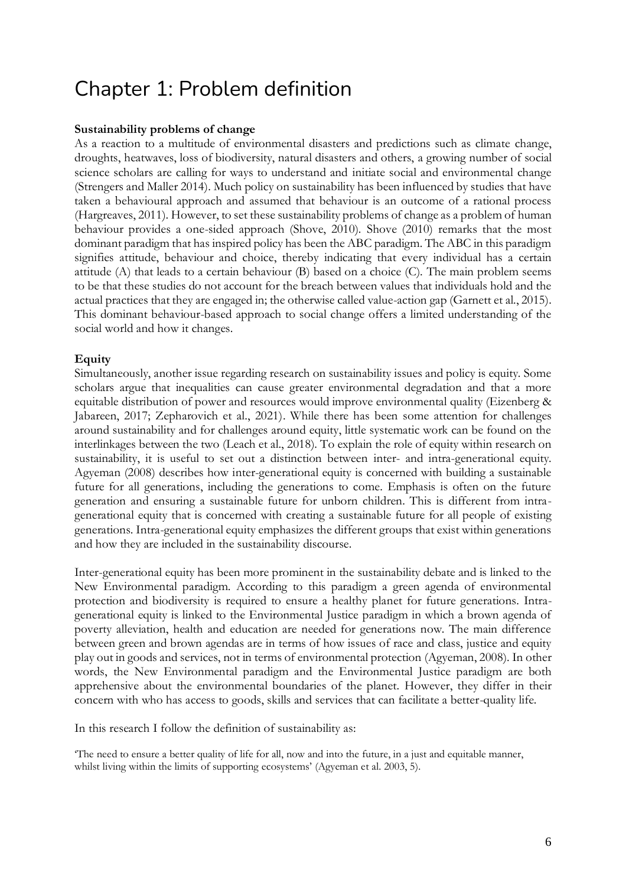## Chapter 1: Problem definition

## **Sustainability problems of change**

As a reaction to a multitude of environmental disasters and predictions such as climate change, droughts, heatwaves, loss of biodiversity, natural disasters and others, a growing number of social science scholars are calling for ways to understand and initiate social and environmental change (Strengers and Maller 2014). Much policy on sustainability has been influenced by studies that have taken a behavioural approach and assumed that behaviour is an outcome of a rational process (Hargreaves, 2011). However, to set these sustainability problems of change as a problem of human behaviour provides a one-sided approach (Shove, 2010). Shove (2010) remarks that the most dominant paradigm that has inspired policy has been the ABC paradigm. The ABC in this paradigm signifies attitude, behaviour and choice, thereby indicating that every individual has a certain attitude (A) that leads to a certain behaviour (B) based on a choice (C). The main problem seems to be that these studies do not account for the breach between values that individuals hold and the actual practices that they are engaged in; the otherwise called value-action gap (Garnett et al., 2015). This dominant behaviour-based approach to social change offers a limited understanding of the social world and how it changes.

## **Equity**

Simultaneously, another issue regarding research on sustainability issues and policy is equity. Some scholars argue that inequalities can cause greater environmental degradation and that a more equitable distribution of power and resources would improve environmental quality (Eizenberg & Jabareen, 2017; Zepharovich et al., 2021). While there has been some attention for challenges around sustainability and for challenges around equity, little systematic work can be found on the interlinkages between the two (Leach et al., 2018). To explain the role of equity within research on sustainability, it is useful to set out a distinction between inter- and intra-generational equity. Agyeman (2008) describes how inter-generational equity is concerned with building a sustainable future for all generations, including the generations to come. Emphasis is often on the future generation and ensuring a sustainable future for unborn children. This is different from intragenerational equity that is concerned with creating a sustainable future for all people of existing generations. Intra-generational equity emphasizes the different groups that exist within generations and how they are included in the sustainability discourse.

Inter-generational equity has been more prominent in the sustainability debate and is linked to the New Environmental paradigm. According to this paradigm a green agenda of environmental protection and biodiversity is required to ensure a healthy planet for future generations. Intragenerational equity is linked to the Environmental Justice paradigm in which a brown agenda of poverty alleviation, health and education are needed for generations now. The main difference between green and brown agendas are in terms of how issues of race and class, justice and equity play out in goods and services, not in terms of environmental protection (Agyeman, 2008). In other words, the New Environmental paradigm and the Environmental Justice paradigm are both apprehensive about the environmental boundaries of the planet. However, they differ in their concern with who has access to goods, skills and services that can facilitate a better-quality life.

In this research I follow the definition of sustainability as:

'The need to ensure a better quality of life for all, now and into the future, in a just and equitable manner, whilst living within the limits of supporting ecosystems' (Agyeman et al. 2003, 5).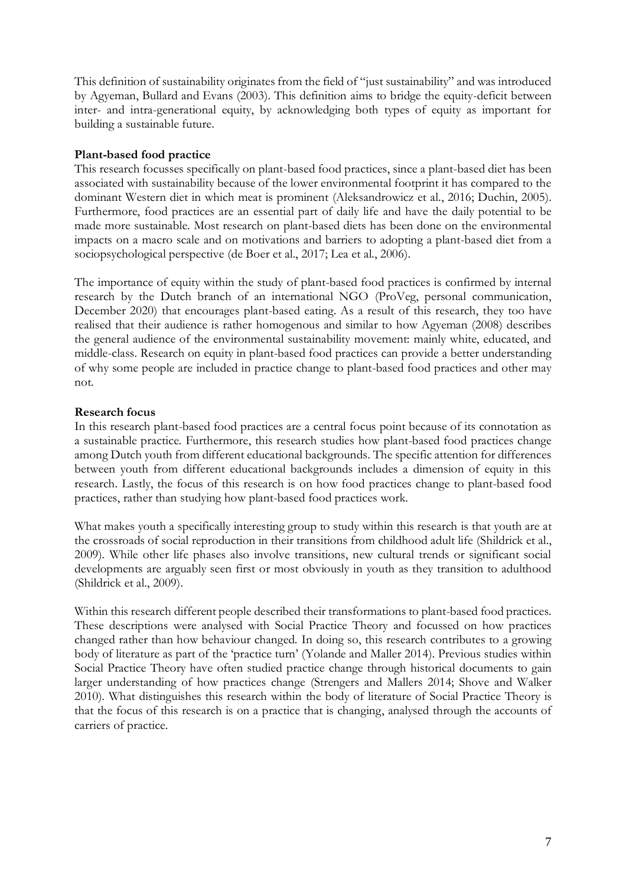This definition of sustainability originates from the field of "just sustainability" and was introduced by Agyeman, Bullard and Evans (2003). This definition aims to bridge the equity-deficit between inter- and intra-generational equity, by acknowledging both types of equity as important for building a sustainable future.

## **Plant-based food practice**

This research focusses specifically on plant-based food practices, since a plant-based diet has been associated with sustainability because of the lower environmental footprint it has compared to the dominant Western diet in which meat is prominent (Aleksandrowicz et al., 2016; Duchin, 2005). Furthermore, food practices are an essential part of daily life and have the daily potential to be made more sustainable. Most research on plant-based diets has been done on the environmental impacts on a macro scale and on motivations and barriers to adopting a plant-based diet from a sociopsychological perspective (de Boer et al., 2017; Lea et al., 2006).

The importance of equity within the study of plant-based food practices is confirmed by internal research by the Dutch branch of an international NGO (ProVeg, personal communication, December 2020) that encourages plant-based eating. As a result of this research, they too have realised that their audience is rather homogenous and similar to how Agyeman (2008) describes the general audience of the environmental sustainability movement: mainly white, educated, and middle-class. Research on equity in plant-based food practices can provide a better understanding of why some people are included in practice change to plant-based food practices and other may not.

## **Research focus**

In this research plant-based food practices are a central focus point because of its connotation as a sustainable practice. Furthermore, this research studies how plant-based food practices change among Dutch youth from different educational backgrounds. The specific attention for differences between youth from different educational backgrounds includes a dimension of equity in this research. Lastly, the focus of this research is on how food practices change to plant-based food practices, rather than studying how plant-based food practices work.

What makes youth a specifically interesting group to study within this research is that youth are at the crossroads of social reproduction in their transitions from childhood adult life (Shildrick et al., 2009). While other life phases also involve transitions, new cultural trends or significant social developments are arguably seen first or most obviously in youth as they transition to adulthood (Shildrick et al., 2009).

Within this research different people described their transformations to plant-based food practices. These descriptions were analysed with Social Practice Theory and focussed on how practices changed rather than how behaviour changed. In doing so, this research contributes to a growing body of literature as part of the 'practice turn' (Yolande and Maller 2014). Previous studies within Social Practice Theory have often studied practice change through historical documents to gain larger understanding of how practices change (Strengers and Mallers 2014; Shove and Walker 2010). What distinguishes this research within the body of literature of Social Practice Theory is that the focus of this research is on a practice that is changing, analysed through the accounts of carriers of practice.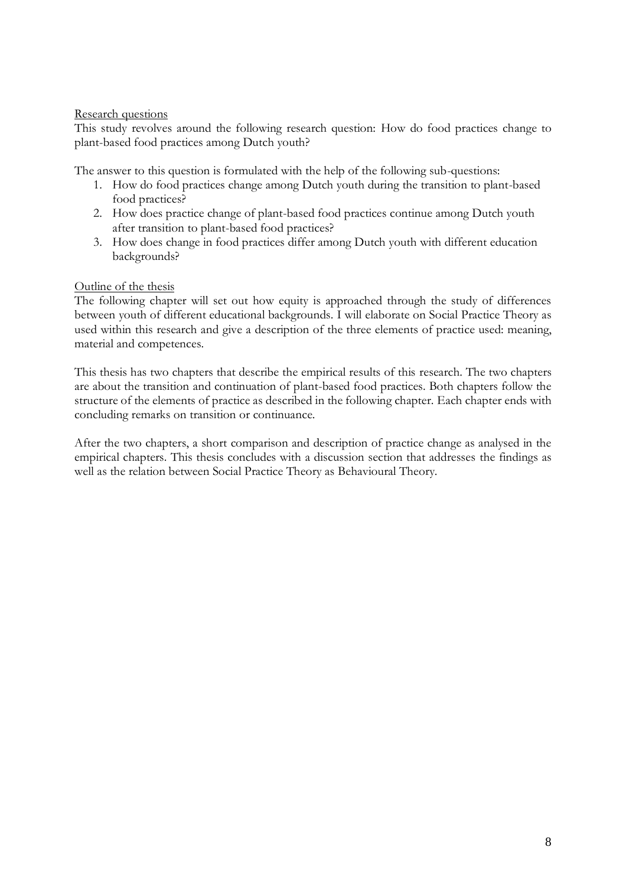## Research questions

This study revolves around the following research question: How do food practices change to plant-based food practices among Dutch youth?

The answer to this question is formulated with the help of the following sub-questions:

- 1. How do food practices change among Dutch youth during the transition to plant-based food practices?
- 2. How does practice change of plant-based food practices continue among Dutch youth after transition to plant-based food practices?
- 3. How does change in food practices differ among Dutch youth with different education backgrounds?

## Outline of the thesis

The following chapter will set out how equity is approached through the study of differences between youth of different educational backgrounds. I will elaborate on Social Practice Theory as used within this research and give a description of the three elements of practice used: meaning, material and competences.

This thesis has two chapters that describe the empirical results of this research. The two chapters are about the transition and continuation of plant-based food practices. Both chapters follow the structure of the elements of practice as described in the following chapter. Each chapter ends with concluding remarks on transition or continuance.

After the two chapters, a short comparison and description of practice change as analysed in the empirical chapters. This thesis concludes with a discussion section that addresses the findings as well as the relation between Social Practice Theory as Behavioural Theory.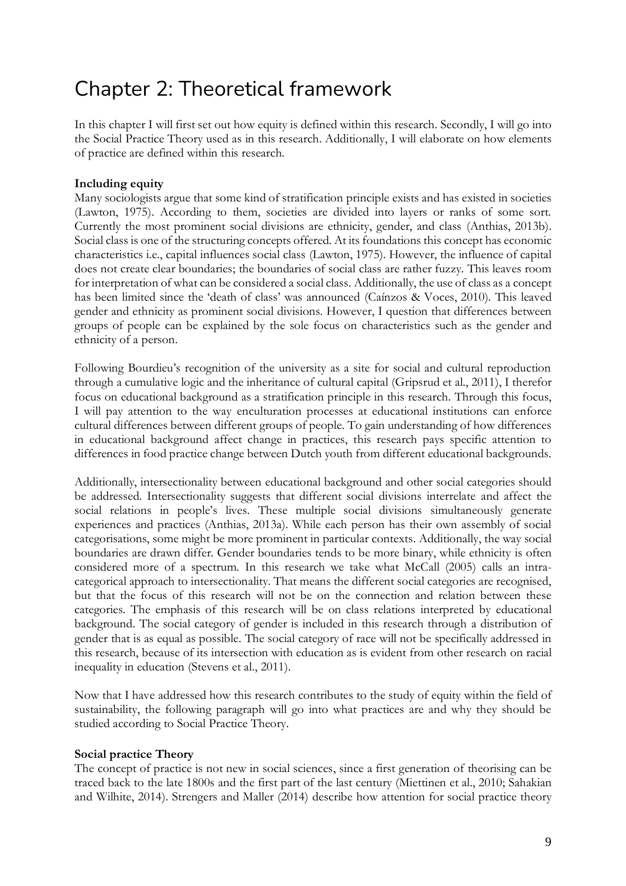## Chapter 2: Theoretical framework

In this chapter I will first set out how equity is defined within this research. Secondly, I will go into the Social Practice Theory used as in this research. Additionally, I will elaborate on how elements of practice are defined within this research.

## **Including equity**

Many sociologists argue that some kind of stratification principle exists and has existed in societies (Lawton, 1975). According to them, societies are divided into layers or ranks of some sort. Currently the most prominent social divisions are ethnicity, gender, and class (Anthias, 2013b). Social class is one of the structuring concepts offered. At its foundations this concept has economic characteristics i.e., capital influences social class (Lawton, 1975). However, the influence of capital does not create clear boundaries; the boundaries of social class are rather fuzzy. This leaves room for interpretation of what can be considered a social class. Additionally, the use of class as a concept has been limited since the 'death of class' was announced (Caínzos & Voces, 2010). This leaved gender and ethnicity as prominent social divisions. However, I question that differences between groups of people can be explained by the sole focus on characteristics such as the gender and ethnicity of a person.

Following Bourdieu's recognition of the university as a site for social and cultural reproduction through a cumulative logic and the inheritance of cultural capital (Gripsrud et al., 2011), I therefor focus on educational background as a stratification principle in this research. Through this focus, I will pay attention to the way enculturation processes at educational institutions can enforce cultural differences between different groups of people. To gain understanding of how differences in educational background affect change in practices, this research pays specific attention to differences in food practice change between Dutch youth from different educational backgrounds.

Additionally, intersectionality between educational background and other social categories should be addressed. Intersectionality suggests that different social divisions interrelate and affect the social relations in people's lives. These multiple social divisions simultaneously generate experiences and practices (Anthias, 2013a). While each person has their own assembly of social categorisations, some might be more prominent in particular contexts. Additionally, the way social boundaries are drawn differ. Gender boundaries tends to be more binary, while ethnicity is often considered more of a spectrum. In this research we take what McCall (2005) calls an intracategorical approach to intersectionality. That means the different social categories are recognised, but that the focus of this research will not be on the connection and relation between these categories. The emphasis of this research will be on class relations interpreted by educational background. The social category of gender is included in this research through a distribution of gender that is as equal as possible. The social category of race will not be specifically addressed in this research, because of its intersection with education as is evident from other research on racial inequality in education (Stevens et al., 2011).

Now that I have addressed how this research contributes to the study of equity within the field of sustainability, the following paragraph will go into what practices are and why they should be studied according to Social Practice Theory.

## **Social practice Theory**

The concept of practice is not new in social sciences, since a first generation of theorising can be traced back to the late 1800s and the first part of the last century (Miettinen et al., 2010; Sahakian and Wilhite, 2014). Strengers and Maller (2014) describe how attention for social practice theory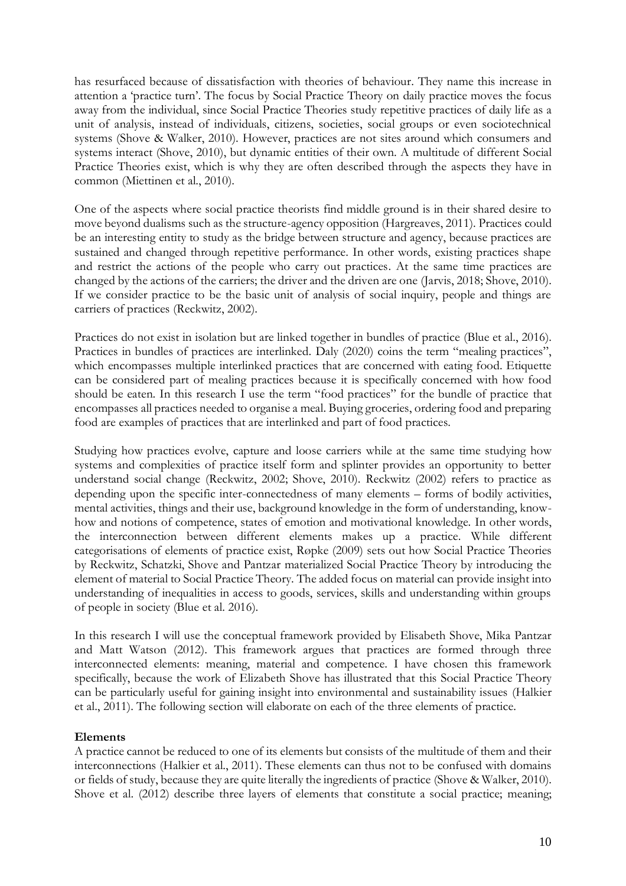has resurfaced because of dissatisfaction with theories of behaviour. They name this increase in attention a 'practice turn'. The focus by Social Practice Theory on daily practice moves the focus away from the individual, since Social Practice Theories study repetitive practices of daily life as a unit of analysis, instead of individuals, citizens, societies, social groups or even sociotechnical systems (Shove & Walker, 2010). However, practices are not sites around which consumers and systems interact (Shove, 2010), but dynamic entities of their own. A multitude of different Social Practice Theories exist, which is why they are often described through the aspects they have in common (Miettinen et al., 2010).

One of the aspects where social practice theorists find middle ground is in their shared desire to move beyond dualisms such as the structure-agency opposition (Hargreaves, 2011). Practices could be an interesting entity to study as the bridge between structure and agency, because practices are sustained and changed through repetitive performance. In other words, existing practices shape and restrict the actions of the people who carry out practices. At the same time practices are changed by the actions of the carriers; the driver and the driven are one (Jarvis, 2018; Shove, 2010). If we consider practice to be the basic unit of analysis of social inquiry, people and things are carriers of practices (Reckwitz, 2002).

Practices do not exist in isolation but are linked together in bundles of practice (Blue et al., 2016). Practices in bundles of practices are interlinked. Daly (2020) coins the term "mealing practices", which encompasses multiple interlinked practices that are concerned with eating food. Etiquette can be considered part of mealing practices because it is specifically concerned with how food should be eaten. In this research I use the term "food practices" for the bundle of practice that encompasses all practices needed to organise a meal. Buying groceries, ordering food and preparing food are examples of practices that are interlinked and part of food practices.

Studying how practices evolve, capture and loose carriers while at the same time studying how systems and complexities of practice itself form and splinter provides an opportunity to better understand social change (Reckwitz, 2002; Shove, 2010). Reckwitz (2002) refers to practice as depending upon the specific inter-connectedness of many elements – forms of bodily activities, mental activities, things and their use, background knowledge in the form of understanding, knowhow and notions of competence, states of emotion and motivational knowledge. In other words, the interconnection between different elements makes up a practice. While different categorisations of elements of practice exist, Røpke (2009) sets out how Social Practice Theories by Reckwitz, Schatzki, Shove and Pantzar materialized Social Practice Theory by introducing the element of material to Social Practice Theory. The added focus on material can provide insight into understanding of inequalities in access to goods, services, skills and understanding within groups of people in society (Blue et al. 2016).

In this research I will use the conceptual framework provided by Elisabeth Shove, Mika Pantzar and Matt Watson (2012). This framework argues that practices are formed through three interconnected elements: meaning, material and competence. I have chosen this framework specifically, because the work of Elizabeth Shove has illustrated that this Social Practice Theory can be particularly useful for gaining insight into environmental and sustainability issues (Halkier et al., 2011). The following section will elaborate on each of the three elements of practice.

## **Elements**

A practice cannot be reduced to one of its elements but consists of the multitude of them and their interconnections (Halkier et al., 2011). These elements can thus not to be confused with domains or fields of study, because they are quite literally the ingredients of practice (Shove & Walker, 2010). Shove et al. (2012) describe three layers of elements that constitute a social practice; meaning;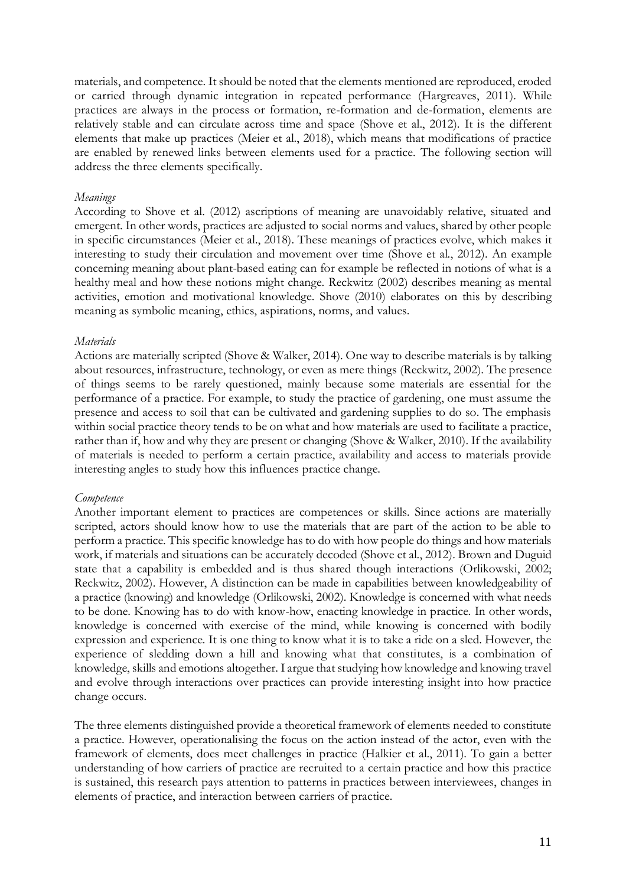materials, and competence. It should be noted that the elements mentioned are reproduced, eroded or carried through dynamic integration in repeated performance (Hargreaves, 2011). While practices are always in the process or formation, re-formation and de-formation, elements are relatively stable and can circulate across time and space (Shove et al., 2012). It is the different elements that make up practices (Meier et al., 2018), which means that modifications of practice are enabled by renewed links between elements used for a practice. The following section will address the three elements specifically.

### *Meanings*

According to Shove et al. (2012) ascriptions of meaning are unavoidably relative, situated and emergent. In other words, practices are adjusted to social norms and values, shared by other people in specific circumstances (Meier et al., 2018). These meanings of practices evolve, which makes it interesting to study their circulation and movement over time (Shove et al., 2012). An example concerning meaning about plant-based eating can for example be reflected in notions of what is a healthy meal and how these notions might change. Reckwitz (2002) describes meaning as mental activities, emotion and motivational knowledge. Shove (2010) elaborates on this by describing meaning as symbolic meaning, ethics, aspirations, norms, and values.

### *Materials*

Actions are materially scripted (Shove & Walker, 2014). One way to describe materials is by talking about resources, infrastructure, technology, or even as mere things (Reckwitz, 2002). The presence of things seems to be rarely questioned, mainly because some materials are essential for the performance of a practice. For example, to study the practice of gardening, one must assume the presence and access to soil that can be cultivated and gardening supplies to do so. The emphasis within social practice theory tends to be on what and how materials are used to facilitate a practice, rather than if, how and why they are present or changing (Shove & Walker, 2010). If the availability of materials is needed to perform a certain practice, availability and access to materials provide interesting angles to study how this influences practice change.

## *Competence*

Another important element to practices are competences or skills. Since actions are materially scripted, actors should know how to use the materials that are part of the action to be able to perform a practice. This specific knowledge has to do with how people do things and how materials work, if materials and situations can be accurately decoded (Shove et al., 2012). Brown and Duguid state that a capability is embedded and is thus shared though interactions (Orlikowski, 2002; Reckwitz, 2002). However, A distinction can be made in capabilities between knowledgeability of a practice (knowing) and knowledge (Orlikowski, 2002). Knowledge is concerned with what needs to be done. Knowing has to do with know-how, enacting knowledge in practice. In other words, knowledge is concerned with exercise of the mind, while knowing is concerned with bodily expression and experience. It is one thing to know what it is to take a ride on a sled. However, the experience of sledding down a hill and knowing what that constitutes, is a combination of knowledge, skills and emotions altogether. I argue that studying how knowledge and knowing travel and evolve through interactions over practices can provide interesting insight into how practice change occurs.

The three elements distinguished provide a theoretical framework of elements needed to constitute a practice. However, operationalising the focus on the action instead of the actor, even with the framework of elements, does meet challenges in practice (Halkier et al., 2011). To gain a better understanding of how carriers of practice are recruited to a certain practice and how this practice is sustained, this research pays attention to patterns in practices between interviewees, changes in elements of practice, and interaction between carriers of practice.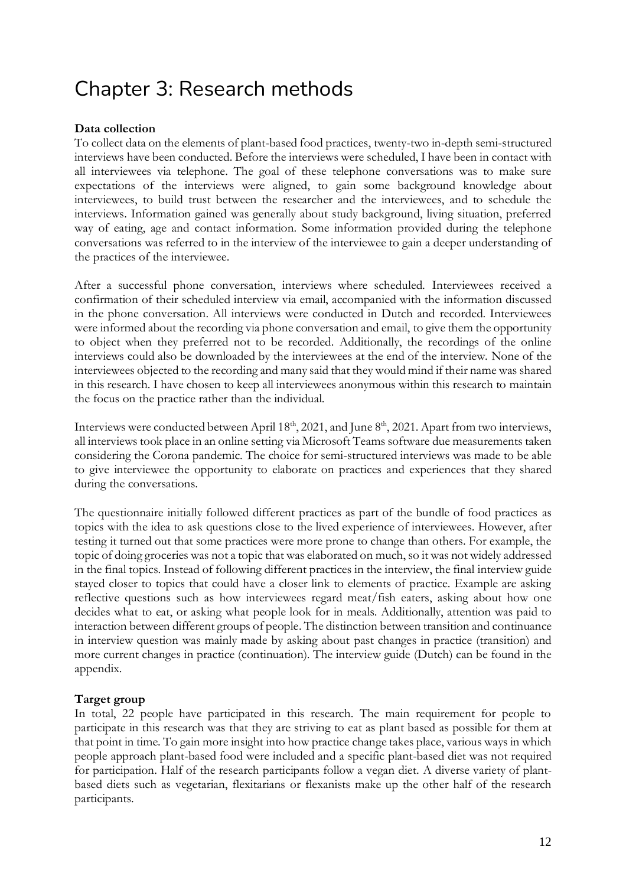## Chapter 3: Research methods

## **Data collection**

To collect data on the elements of plant-based food practices, twenty-two in-depth semi-structured interviews have been conducted. Before the interviews were scheduled, I have been in contact with all interviewees via telephone. The goal of these telephone conversations was to make sure expectations of the interviews were aligned, to gain some background knowledge about interviewees, to build trust between the researcher and the interviewees, and to schedule the interviews. Information gained was generally about study background, living situation, preferred way of eating, age and contact information. Some information provided during the telephone conversations was referred to in the interview of the interviewee to gain a deeper understanding of the practices of the interviewee.

After a successful phone conversation, interviews where scheduled. Interviewees received a confirmation of their scheduled interview via email, accompanied with the information discussed in the phone conversation. All interviews were conducted in Dutch and recorded. Interviewees were informed about the recording via phone conversation and email, to give them the opportunity to object when they preferred not to be recorded. Additionally, the recordings of the online interviews could also be downloaded by the interviewees at the end of the interview. None of the interviewees objected to the recording and many said that they would mind if their name was shared in this research. I have chosen to keep all interviewees anonymous within this research to maintain the focus on the practice rather than the individual.

Interviews were conducted between April 18<sup>th</sup>, 2021, and June 8<sup>th</sup>, 2021. Apart from two interviews, all interviews took place in an online setting via Microsoft Teams software due measurements taken considering the Corona pandemic. The choice for semi-structured interviews was made to be able to give interviewee the opportunity to elaborate on practices and experiences that they shared during the conversations.

The questionnaire initially followed different practices as part of the bundle of food practices as topics with the idea to ask questions close to the lived experience of interviewees. However, after testing it turned out that some practices were more prone to change than others. For example, the topic of doing groceries was not a topic that was elaborated on much,so it was not widely addressed in the final topics. Instead of following different practices in the interview, the final interview guide stayed closer to topics that could have a closer link to elements of practice. Example are asking reflective questions such as how interviewees regard meat/fish eaters, asking about how one decides what to eat, or asking what people look for in meals. Additionally, attention was paid to interaction between different groups of people. The distinction between transition and continuance in interview question was mainly made by asking about past changes in practice (transition) and more current changes in practice (continuation). The interview guide (Dutch) can be found in the appendix.

## **Target group**

In total, 22 people have participated in this research. The main requirement for people to participate in this research was that they are striving to eat as plant based as possible for them at that point in time. To gain more insight into how practice change takes place, various ways in which people approach plant-based food were included and a specific plant-based diet was not required for participation. Half of the research participants follow a vegan diet. A diverse variety of plantbased diets such as vegetarian, flexitarians or flexanists make up the other half of the research participants.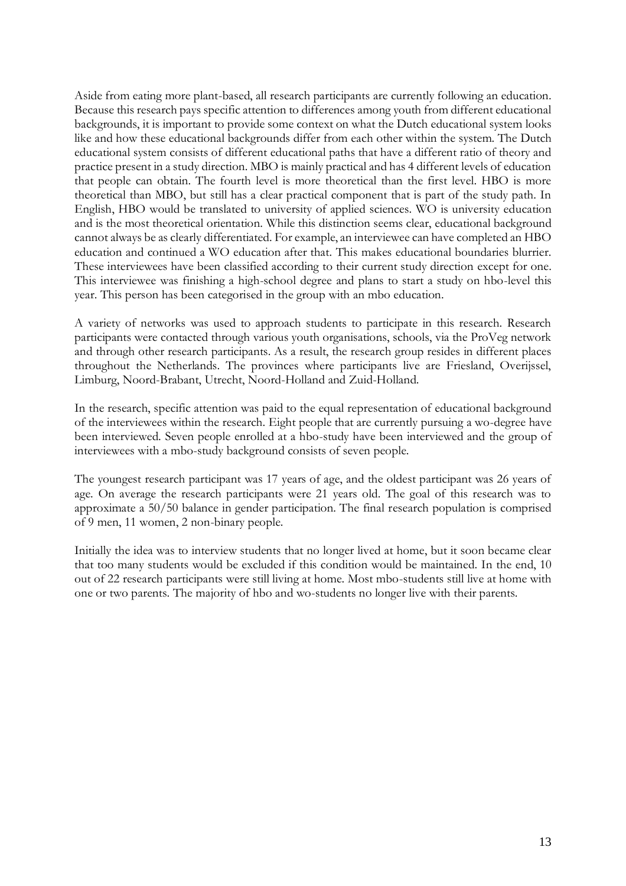Aside from eating more plant-based, all research participants are currently following an education. Because this research pays specific attention to differences among youth from different educational backgrounds, it is important to provide some context on what the Dutch educational system looks like and how these educational backgrounds differ from each other within the system. The Dutch educational system consists of different educational paths that have a different ratio of theory and practice present in a study direction. MBO is mainly practical and has 4 different levels of education that people can obtain. The fourth level is more theoretical than the first level. HBO is more theoretical than MBO, but still has a clear practical component that is part of the study path. In English, HBO would be translated to university of applied sciences. WO is university education and is the most theoretical orientation. While this distinction seems clear, educational background cannot always be as clearly differentiated. For example, an interviewee can have completed an HBO education and continued a WO education after that. This makes educational boundaries blurrier. These interviewees have been classified according to their current study direction except for one. This interviewee was finishing a high-school degree and plans to start a study on hbo-level this year. This person has been categorised in the group with an mbo education.

A variety of networks was used to approach students to participate in this research. Research participants were contacted through various youth organisations, schools, via the ProVeg network and through other research participants. As a result, the research group resides in different places throughout the Netherlands. The provinces where participants live are Friesland, Overijssel, Limburg, Noord-Brabant, Utrecht, Noord-Holland and Zuid-Holland.

In the research, specific attention was paid to the equal representation of educational background of the interviewees within the research. Eight people that are currently pursuing a wo-degree have been interviewed. Seven people enrolled at a hbo-study have been interviewed and the group of interviewees with a mbo-study background consists of seven people.

The youngest research participant was 17 years of age, and the oldest participant was 26 years of age. On average the research participants were 21 years old. The goal of this research was to approximate a 50/50 balance in gender participation. The final research population is comprised of 9 men, 11 women, 2 non-binary people.

Initially the idea was to interview students that no longer lived at home, but it soon became clear that too many students would be excluded if this condition would be maintained. In the end, 10 out of 22 research participants were still living at home. Most mbo-students still live at home with one or two parents. The majority of hbo and wo-students no longer live with their parents.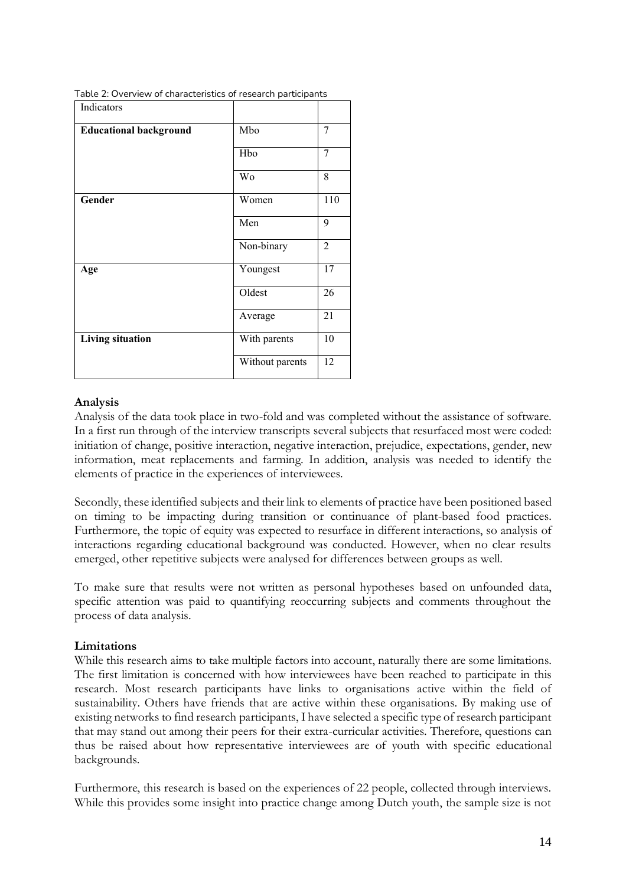| Indicators                    |                 |                |
|-------------------------------|-----------------|----------------|
| <b>Educational background</b> | Mbo             | 7              |
|                               | Hbo             | 7              |
|                               | Wo              | 8              |
| Gender                        | Women           | 110            |
|                               | Men             | 9              |
|                               | Non-binary      | $\overline{2}$ |
| Age                           | Youngest        | 17             |
|                               | Oldest          | 26             |
|                               | Average         | 21             |
| <b>Living situation</b>       | With parents    | 10             |
|                               | Without parents | 12             |

Table 2: Overview of characteristics of research participants

### **Analysis**

Analysis of the data took place in two-fold and was completed without the assistance of software. In a first run through of the interview transcripts several subjects that resurfaced most were coded: initiation of change, positive interaction, negative interaction, prejudice, expectations, gender, new information, meat replacements and farming. In addition, analysis was needed to identify the elements of practice in the experiences of interviewees.

Secondly, these identified subjects and their link to elements of practice have been positioned based on timing to be impacting during transition or continuance of plant-based food practices. Furthermore, the topic of equity was expected to resurface in different interactions, so analysis of interactions regarding educational background was conducted. However, when no clear results emerged, other repetitive subjects were analysed for differences between groups as well.

To make sure that results were not written as personal hypotheses based on unfounded data, specific attention was paid to quantifying reoccurring subjects and comments throughout the process of data analysis.

## **Limitations**

While this research aims to take multiple factors into account, naturally there are some limitations. The first limitation is concerned with how interviewees have been reached to participate in this research. Most research participants have links to organisations active within the field of sustainability. Others have friends that are active within these organisations. By making use of existing networks to find research participants, I have selected a specific type of research participant that may stand out among their peers for their extra-curricular activities. Therefore, questions can thus be raised about how representative interviewees are of youth with specific educational backgrounds.

Furthermore, this research is based on the experiences of 22 people, collected through interviews. While this provides some insight into practice change among Dutch youth, the sample size is not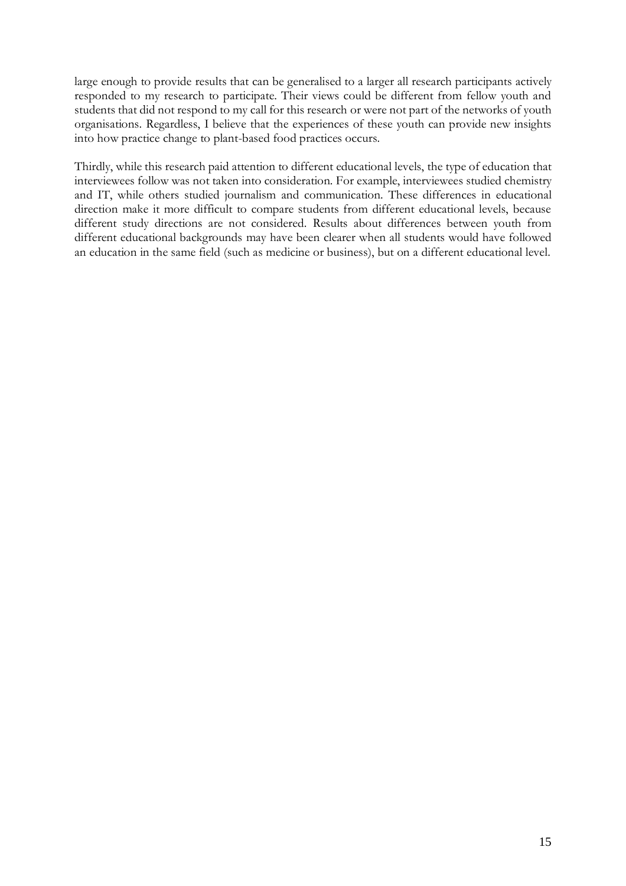large enough to provide results that can be generalised to a larger all research participants actively responded to my research to participate. Their views could be different from fellow youth and students that did not respond to my call for this research or were not part of the networks of youth organisations. Regardless, I believe that the experiences of these youth can provide new insights into how practice change to plant-based food practices occurs.

Thirdly, while this research paid attention to different educational levels, the type of education that interviewees follow was not taken into consideration. For example, interviewees studied chemistry and IT, while others studied journalism and communication. These differences in educational direction make it more difficult to compare students from different educational levels, because different study directions are not considered. Results about differences between youth from different educational backgrounds may have been clearer when all students would have followed an education in the same field (such as medicine or business), but on a different educational level.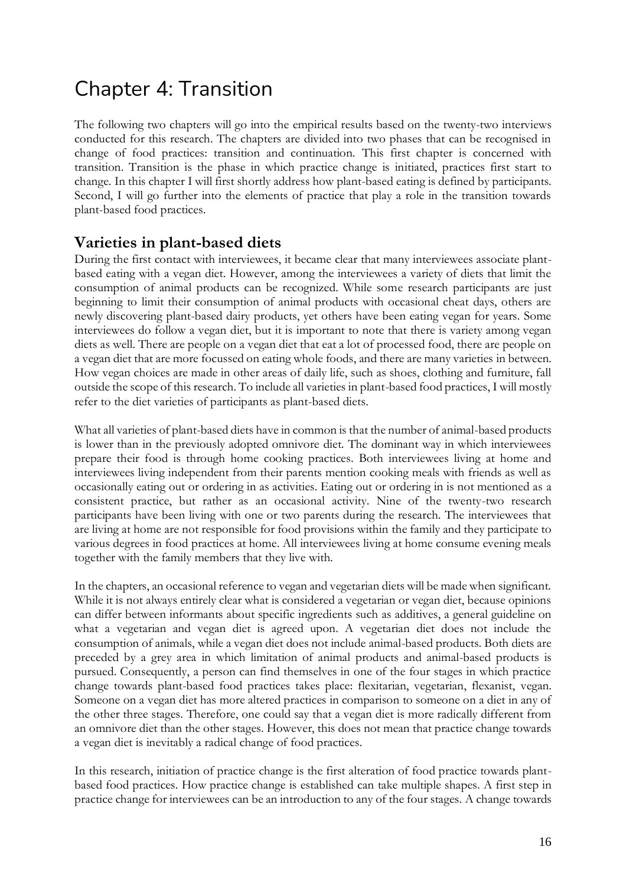## Chapter 4: Transition

The following two chapters will go into the empirical results based on the twenty-two interviews conducted for this research. The chapters are divided into two phases that can be recognised in change of food practices: transition and continuation. This first chapter is concerned with transition. Transition is the phase in which practice change is initiated, practices first start to change. In this chapter I will first shortly address how plant-based eating is defined by participants. Second, I will go further into the elements of practice that play a role in the transition towards plant-based food practices.

## **Varieties in plant-based diets**

During the first contact with interviewees, it became clear that many interviewees associate plantbased eating with a vegan diet. However, among the interviewees a variety of diets that limit the consumption of animal products can be recognized. While some research participants are just beginning to limit their consumption of animal products with occasional cheat days, others are newly discovering plant-based dairy products, yet others have been eating vegan for years. Some interviewees do follow a vegan diet, but it is important to note that there is variety among vegan diets as well. There are people on a vegan diet that eat a lot of processed food, there are people on a vegan diet that are more focussed on eating whole foods, and there are many varieties in between. How vegan choices are made in other areas of daily life, such as shoes, clothing and furniture, fall outside the scope of this research. To include all varieties in plant-based food practices, I will mostly refer to the diet varieties of participants as plant-based diets.

What all varieties of plant-based diets have in common is that the number of animal-based products is lower than in the previously adopted omnivore diet. The dominant way in which interviewees prepare their food is through home cooking practices. Both interviewees living at home and interviewees living independent from their parents mention cooking meals with friends as well as occasionally eating out or ordering in as activities. Eating out or ordering in is not mentioned as a consistent practice, but rather as an occasional activity. Nine of the twenty-two research participants have been living with one or two parents during the research. The interviewees that are living at home are not responsible for food provisions within the family and they participate to various degrees in food practices at home. All interviewees living at home consume evening meals together with the family members that they live with.

In the chapters, an occasional reference to vegan and vegetarian diets will be made when significant. While it is not always entirely clear what is considered a vegetarian or vegan diet, because opinions can differ between informants about specific ingredients such as additives, a general guideline on what a vegetarian and vegan diet is agreed upon. A vegetarian diet does not include the consumption of animals, while a vegan diet does not include animal-based products. Both diets are preceded by a grey area in which limitation of animal products and animal-based products is pursued. Consequently, a person can find themselves in one of the four stages in which practice change towards plant-based food practices takes place: flexitarian, vegetarian, flexanist, vegan. Someone on a vegan diet has more altered practices in comparison to someone on a diet in any of the other three stages. Therefore, one could say that a vegan diet is more radically different from an omnivore diet than the other stages. However, this does not mean that practice change towards a vegan diet is inevitably a radical change of food practices.

In this research, initiation of practice change is the first alteration of food practice towards plantbased food practices. How practice change is established can take multiple shapes. A first step in practice change for interviewees can be an introduction to any of the four stages. A change towards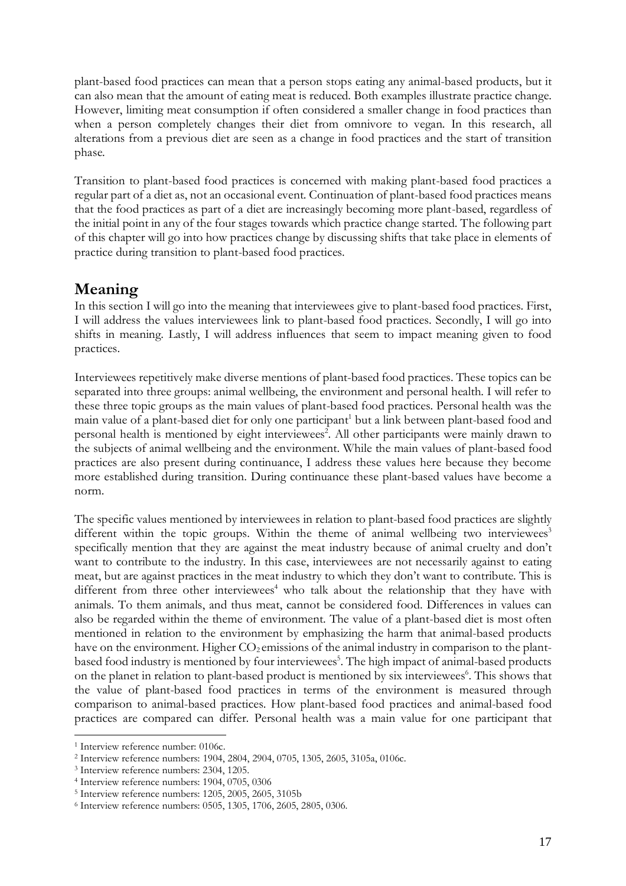plant-based food practices can mean that a person stops eating any animal-based products, but it can also mean that the amount of eating meat is reduced. Both examples illustrate practice change. However, limiting meat consumption if often considered a smaller change in food practices than when a person completely changes their diet from omnivore to vegan. In this research, all alterations from a previous diet are seen as a change in food practices and the start of transition phase.

Transition to plant-based food practices is concerned with making plant-based food practices a regular part of a diet as, not an occasional event. Continuation of plant-based food practices means that the food practices as part of a diet are increasingly becoming more plant-based, regardless of the initial point in any of the four stages towards which practice change started. The following part of this chapter will go into how practices change by discussing shifts that take place in elements of practice during transition to plant-based food practices.

## **Meaning**

In this section I will go into the meaning that interviewees give to plant-based food practices. First, I will address the values interviewees link to plant-based food practices. Secondly, I will go into shifts in meaning. Lastly, I will address influences that seem to impact meaning given to food practices.

Interviewees repetitively make diverse mentions of plant-based food practices. These topics can be separated into three groups: animal wellbeing, the environment and personal health. I will refer to these three topic groups as the main values of plant-based food practices. Personal health was the main value of a plant-based diet for only one participant<sup>1</sup> but a link between plant-based food and personal health is mentioned by eight interviewees<sup>2</sup>. All other participants were mainly drawn to the subjects of animal wellbeing and the environment. While the main values of plant-based food practices are also present during continuance, I address these values here because they become more established during transition. During continuance these plant-based values have become a norm.

The specific values mentioned by interviewees in relation to plant-based food practices are slightly different within the topic groups. Within the theme of animal wellbeing two interviewees<sup>3</sup> specifically mention that they are against the meat industry because of animal cruelty and don't want to contribute to the industry. In this case, interviewees are not necessarily against to eating meat, but are against practices in the meat industry to which they don't want to contribute. This is different from three other interviewees<sup>4</sup> who talk about the relationship that they have with animals. To them animals, and thus meat, cannot be considered food. Differences in values can also be regarded within the theme of environment. The value of a plant-based diet is most often mentioned in relation to the environment by emphasizing the harm that animal-based products have on the environment. Higher  $CO<sub>2</sub>$  emissions of the animal industry in comparison to the plantbased food industry is mentioned by four interviewees<sup>5</sup>. The high impact of animal-based products on the planet in relation to plant-based product is mentioned by six interviewees<sup>6</sup>. This shows that the value of plant-based food practices in terms of the environment is measured through comparison to animal-based practices. How plant-based food practices and animal-based food practices are compared can differ. Personal health was a main value for one participant that

<sup>&</sup>lt;sup>1</sup> Interview reference number: 0106c.

<sup>2</sup> Interview reference numbers: 1904, 2804, 2904, 0705, 1305, 2605, 3105a, 0106c.

<sup>3</sup> Interview reference numbers: 2304, 1205.

<sup>4</sup> Interview reference numbers: 1904, 0705, 0306

<sup>5</sup> Interview reference numbers: 1205, 2005, 2605, 3105b

<sup>6</sup> Interview reference numbers: 0505, 1305, 1706, 2605, 2805, 0306.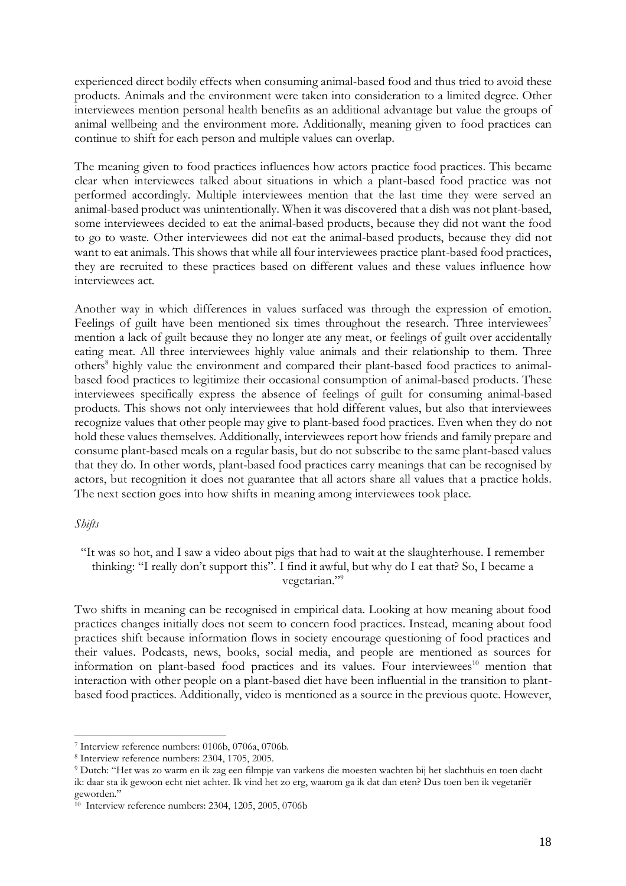experienced direct bodily effects when consuming animal-based food and thus tried to avoid these products. Animals and the environment were taken into consideration to a limited degree. Other interviewees mention personal health benefits as an additional advantage but value the groups of animal wellbeing and the environment more. Additionally, meaning given to food practices can continue to shift for each person and multiple values can overlap.

The meaning given to food practices influences how actors practice food practices. This became clear when interviewees talked about situations in which a plant-based food practice was not performed accordingly. Multiple interviewees mention that the last time they were served an animal-based product was unintentionally. When it was discovered that a dish was not plant-based, some interviewees decided to eat the animal-based products, because they did not want the food to go to waste. Other interviewees did not eat the animal-based products, because they did not want to eat animals. This shows that while all four interviewees practice plant-based food practices, they are recruited to these practices based on different values and these values influence how interviewees act.

Another way in which differences in values surfaced was through the expression of emotion. Feelings of guilt have been mentioned six times throughout the research. Three interviewees<sup>7</sup> mention a lack of guilt because they no longer ate any meat, or feelings of guilt over accidentally eating meat. All three interviewees highly value animals and their relationship to them. Three others<sup>8</sup> highly value the environment and compared their plant-based food practices to animalbased food practices to legitimize their occasional consumption of animal-based products. These interviewees specifically express the absence of feelings of guilt for consuming animal-based products. This shows not only interviewees that hold different values, but also that interviewees recognize values that other people may give to plant-based food practices. Even when they do not hold these values themselves. Additionally, interviewees report how friends and family prepare and consume plant-based meals on a regular basis, but do not subscribe to the same plant-based values that they do. In other words, plant-based food practices carry meanings that can be recognised by actors, but recognition it does not guarantee that all actors share all values that a practice holds. The next section goes into how shifts in meaning among interviewees took place.

#### *Shifts*

"It was so hot, and I saw a video about pigs that had to wait at the slaughterhouse. I remember thinking: "I really don't support this". I find it awful, but why do I eat that? So, I became a vegetarian."<sup>9</sup>

Two shifts in meaning can be recognised in empirical data. Looking at how meaning about food practices changes initially does not seem to concern food practices. Instead, meaning about food practices shift because information flows in society encourage questioning of food practices and their values. Podcasts, news, books, social media, and people are mentioned as sources for information on plant-based food practices and its values. Four interviewees<sup>10</sup> mention that interaction with other people on a plant-based diet have been influential in the transition to plantbased food practices. Additionally, video is mentioned as a source in the previous quote. However,

<sup>7</sup> Interview reference numbers: 0106b, 0706a, 0706b.

<sup>8</sup> Interview reference numbers: 2304, 1705, 2005.

<sup>9</sup> Dutch: "Het was zo warm en ik zag een filmpje van varkens die moesten wachten bij het slachthuis en toen dacht ik: daar sta ik gewoon echt niet achter. Ik vind het zo erg, waarom ga ik dat dan eten? Dus toen ben ik vegetariër geworden."

<sup>&</sup>lt;sup>10</sup> Interview reference numbers: 2304, 1205, 2005, 0706b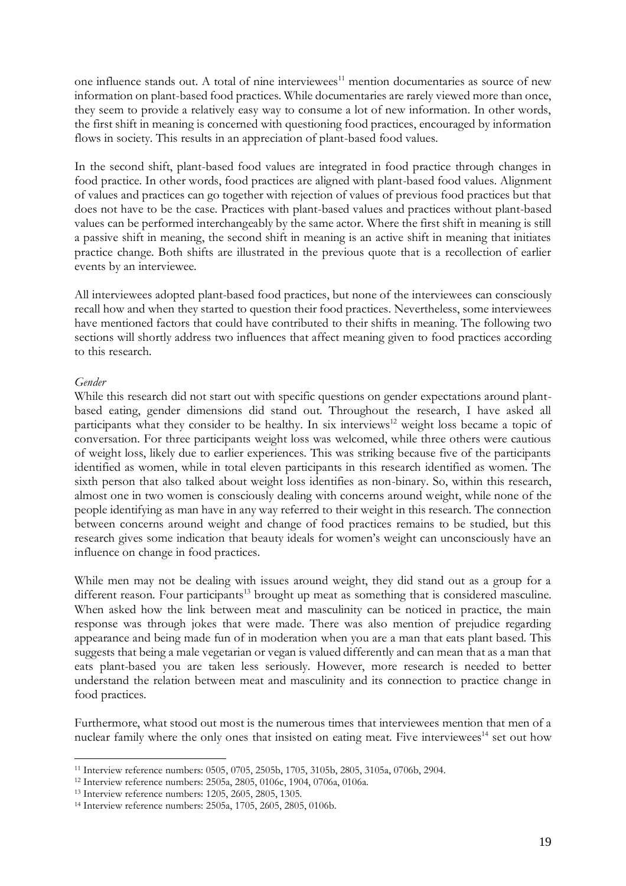one influence stands out. A total of nine interviewees<sup>11</sup> mention documentaries as source of new information on plant-based food practices. While documentaries are rarely viewed more than once, they seem to provide a relatively easy way to consume a lot of new information. In other words, the first shift in meaning is concerned with questioning food practices, encouraged by information flows in society. This results in an appreciation of plant-based food values.

In the second shift, plant-based food values are integrated in food practice through changes in food practice. In other words, food practices are aligned with plant-based food values. Alignment of values and practices can go together with rejection of values of previous food practices but that does not have to be the case. Practices with plant-based values and practices without plant-based values can be performed interchangeably by the same actor. Where the first shift in meaning is still a passive shift in meaning, the second shift in meaning is an active shift in meaning that initiates practice change. Both shifts are illustrated in the previous quote that is a recollection of earlier events by an interviewee.

All interviewees adopted plant-based food practices, but none of the interviewees can consciously recall how and when they started to question their food practices. Nevertheless, some interviewees have mentioned factors that could have contributed to their shifts in meaning. The following two sections will shortly address two influences that affect meaning given to food practices according to this research.

#### *Gender*

While this research did not start out with specific questions on gender expectations around plantbased eating, gender dimensions did stand out. Throughout the research, I have asked all participants what they consider to be healthy. In six interviews<sup>12</sup> weight loss became a topic of conversation. For three participants weight loss was welcomed, while three others were cautious of weight loss, likely due to earlier experiences. This was striking because five of the participants identified as women, while in total eleven participants in this research identified as women. The sixth person that also talked about weight loss identifies as non-binary. So, within this research, almost one in two women is consciously dealing with concerns around weight, while none of the people identifying as man have in any way referred to their weight in this research. The connection between concerns around weight and change of food practices remains to be studied, but this research gives some indication that beauty ideals for women's weight can unconsciously have an influence on change in food practices.

While men may not be dealing with issues around weight, they did stand out as a group for a different reason. Four participants<sup>13</sup> brought up meat as something that is considered masculine. When asked how the link between meat and masculinity can be noticed in practice, the main response was through jokes that were made. There was also mention of prejudice regarding appearance and being made fun of in moderation when you are a man that eats plant based. This suggests that being a male vegetarian or vegan is valued differently and can mean that as a man that eats plant-based you are taken less seriously. However, more research is needed to better understand the relation between meat and masculinity and its connection to practice change in food practices.

Furthermore, what stood out most is the numerous times that interviewees mention that men of a nuclear family where the only ones that insisted on eating meat. Five interviewees<sup>14</sup> set out how

<sup>11</sup> Interview reference numbers: 0505, 0705, 2505b, 1705, 3105b, 2805, 3105a, 0706b, 2904.

<sup>12</sup> Interview reference numbers: 2505a, 2805, 0106c, 1904, 0706a, 0106a.

<sup>13</sup> Interview reference numbers: 1205, 2605, 2805, 1305.

<sup>14</sup> Interview reference numbers: 2505a, 1705, 2605, 2805, 0106b.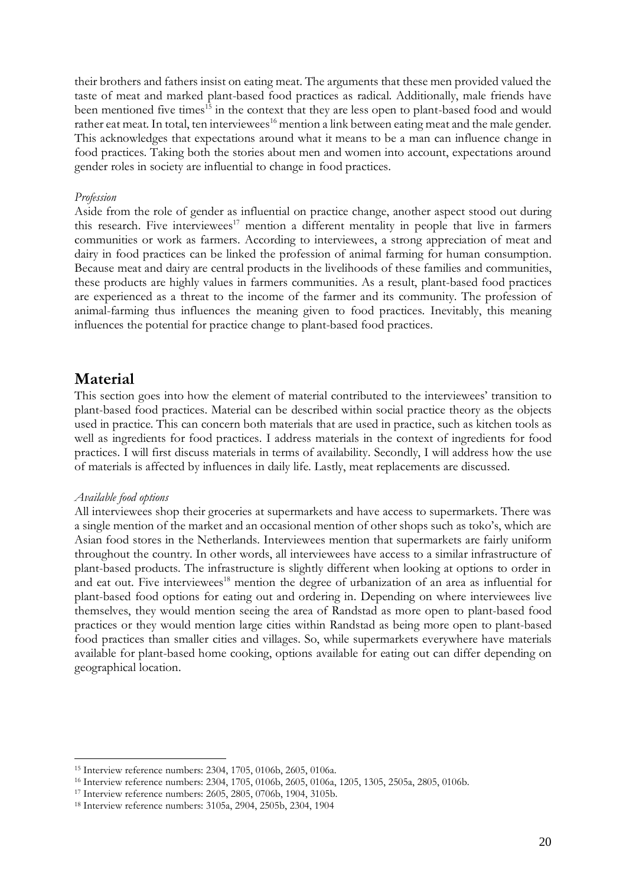their brothers and fathers insist on eating meat. The arguments that these men provided valued the taste of meat and marked plant-based food practices as radical. Additionally, male friends have been mentioned five times<sup>15</sup> in the context that they are less open to plant-based food and would rather eat meat. In total, ten interviewees<sup>16</sup> mention a link between eating meat and the male gender. This acknowledges that expectations around what it means to be a man can influence change in food practices. Taking both the stories about men and women into account, expectations around gender roles in society are influential to change in food practices.

#### *Profession*

Aside from the role of gender as influential on practice change, another aspect stood out during this research. Five interviewees<sup>17</sup> mention a different mentality in people that live in farmers communities or work as farmers. According to interviewees, a strong appreciation of meat and dairy in food practices can be linked the profession of animal farming for human consumption. Because meat and dairy are central products in the livelihoods of these families and communities, these products are highly values in farmers communities. As a result, plant-based food practices are experienced as a threat to the income of the farmer and its community. The profession of animal-farming thus influences the meaning given to food practices. Inevitably, this meaning influences the potential for practice change to plant-based food practices.

## **Material**

This section goes into how the element of material contributed to the interviewees' transition to plant-based food practices. Material can be described within social practice theory as the objects used in practice. This can concern both materials that are used in practice, such as kitchen tools as well as ingredients for food practices. I address materials in the context of ingredients for food practices. I will first discuss materials in terms of availability. Secondly, I will address how the use of materials is affected by influences in daily life. Lastly, meat replacements are discussed.

#### *Available food options*

All interviewees shop their groceries at supermarkets and have access to supermarkets. There was a single mention of the market and an occasional mention of other shops such as toko's, which are Asian food stores in the Netherlands. Interviewees mention that supermarkets are fairly uniform throughout the country. In other words, all interviewees have access to a similar infrastructure of plant-based products. The infrastructure is slightly different when looking at options to order in and eat out. Five interviewees<sup>18</sup> mention the degree of urbanization of an area as influential for plant-based food options for eating out and ordering in. Depending on where interviewees live themselves, they would mention seeing the area of Randstad as more open to plant-based food practices or they would mention large cities within Randstad as being more open to plant-based food practices than smaller cities and villages. So, while supermarkets everywhere have materials available for plant-based home cooking, options available for eating out can differ depending on geographical location.

<sup>15</sup> Interview reference numbers: 2304, 1705, 0106b, 2605, 0106a.

<sup>16</sup> Interview reference numbers: 2304, 1705, 0106b, 2605, 0106a, 1205, 1305, 2505a, 2805, 0106b.

<sup>17</sup> Interview reference numbers: 2605, 2805, 0706b, 1904, 3105b.

<sup>18</sup> Interview reference numbers: 3105a, 2904, 2505b, 2304, 1904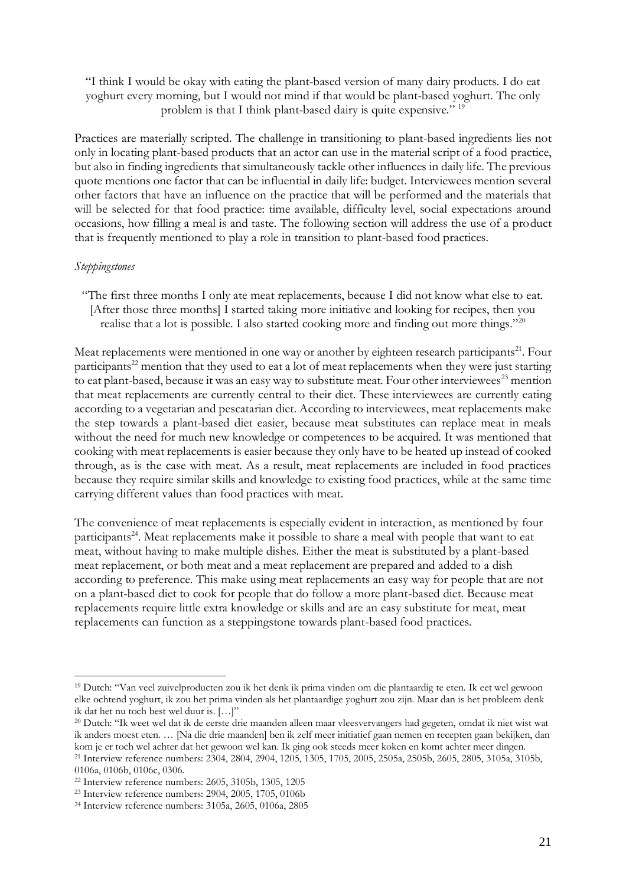"I think I would be okay with eating the plant-based version of many dairy products. I do eat yoghurt every morning, but I would not mind if that would be plant-based yoghurt. The only problem is that I think plant-based dairy is quite expensive." <sup>19</sup>

Practices are materially scripted. The challenge in transitioning to plant-based ingredients lies not only in locating plant-based products that an actor can use in the material script of a food practice, but also in finding ingredients that simultaneously tackle other influences in daily life. The previous quote mentions one factor that can be influential in daily life: budget. Interviewees mention several other factors that have an influence on the practice that will be performed and the materials that will be selected for that food practice: time available, difficulty level, social expectations around occasions, how filling a meal is and taste. The following section will address the use of a product that is frequently mentioned to play a role in transition to plant-based food practices.

### *Steppingstones*

"The first three months I only ate meat replacements, because I did not know what else to eat. [After those three months] I started taking more initiative and looking for recipes, then you realise that a lot is possible. I also started cooking more and finding out more things."<sup>20</sup>

Meat replacements were mentioned in one way or another by eighteen research participants<sup>21</sup>. Four participants<sup>22</sup> mention that they used to eat a lot of meat replacements when they were just starting to eat plant-based, because it was an easy way to substitute meat. Four other interviewees<sup>23</sup> mention that meat replacements are currently central to their diet. These interviewees are currently eating according to a vegetarian and pescatarian diet. According to interviewees, meat replacements make the step towards a plant-based diet easier, because meat substitutes can replace meat in meals without the need for much new knowledge or competences to be acquired. It was mentioned that cooking with meat replacements is easier because they only have to be heated up instead of cooked through, as is the case with meat. As a result, meat replacements are included in food practices because they require similar skills and knowledge to existing food practices, while at the same time carrying different values than food practices with meat.

The convenience of meat replacements is especially evident in interaction, as mentioned by four participants<sup>24</sup>. Meat replacements make it possible to share a meal with people that want to eat meat, without having to make multiple dishes. Either the meat is substituted by a plant-based meat replacement, or both meat and a meat replacement are prepared and added to a dish according to preference. This make using meat replacements an easy way for people that are not on a plant-based diet to cook for people that do follow a more plant-based diet. Because meat replacements require little extra knowledge or skills and are an easy substitute for meat, meat replacements can function as a steppingstone towards plant-based food practices.

<sup>19</sup> Dutch: "Van veel zuivelproducten zou ik het denk ik prima vinden om die plantaardig te eten. Ik eet wel gewoon elke ochtend yoghurt, ik zou het prima vinden als het plantaardige yoghurt zou zijn. Maar dan is het probleem denk ik dat het nu toch best wel duur is. […]"

<sup>20</sup> Dutch: "Ik weet wel dat ik de eerste drie maanden alleen maar vleesvervangers had gegeten, omdat ik niet wist wat ik anders moest eten. … [Na die drie maanden] ben ik zelf meer initiatief gaan nemen en recepten gaan bekijken, dan kom je er toch wel achter dat het gewoon wel kan. Ik ging ook steeds meer koken en komt achter meer dingen. <sup>21</sup> Interview reference numbers: 2304, 2804, 2904, 1205, 1305, 1705, 2005, 2505a, 2505b, 2605, 2805, 3105a, 3105b, 0106a, 0106b, 0106c, 0306.

<sup>22</sup> Interview reference numbers: 2605, 3105b, 1305, 1205

<sup>23</sup> Interview reference numbers: 2904, 2005, 1705, 0106b

<sup>24</sup> Interview reference numbers: 3105a, 2605, 0106a, 2805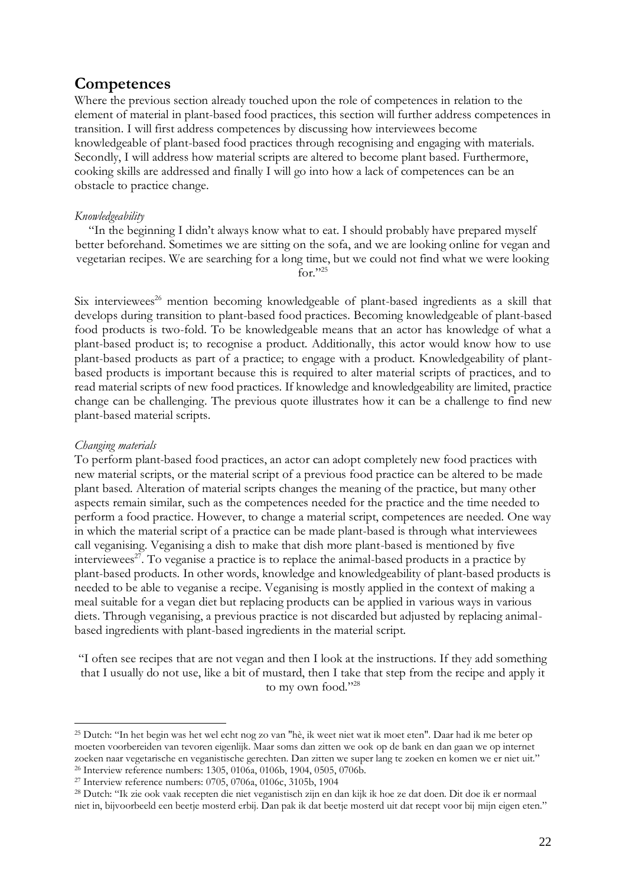## **Competences**

Where the previous section already touched upon the role of competences in relation to the element of material in plant-based food practices, this section will further address competences in transition. I will first address competences by discussing how interviewees become knowledgeable of plant-based food practices through recognising and engaging with materials. Secondly, I will address how material scripts are altered to become plant based. Furthermore, cooking skills are addressed and finally I will go into how a lack of competences can be an obstacle to practice change.

### *Knowledgeability*

"In the beginning I didn't always know what to eat. I should probably have prepared myself better beforehand. Sometimes we are sitting on the sofa, and we are looking online for vegan and vegetarian recipes. We are searching for a long time, but we could not find what we were looking for $"$ <sup>25</sup>

Six interviewees<sup>26</sup> mention becoming knowledgeable of plant-based ingredients as a skill that develops during transition to plant-based food practices. Becoming knowledgeable of plant-based food products is two-fold. To be knowledgeable means that an actor has knowledge of what a plant-based product is; to recognise a product. Additionally, this actor would know how to use plant-based products as part of a practice; to engage with a product. Knowledgeability of plantbased products is important because this is required to alter material scripts of practices, and to read material scripts of new food practices. If knowledge and knowledgeability are limited, practice change can be challenging. The previous quote illustrates how it can be a challenge to find new plant-based material scripts.

### *Changing materials*

To perform plant-based food practices, an actor can adopt completely new food practices with new material scripts, or the material script of a previous food practice can be altered to be made plant based. Alteration of material scripts changes the meaning of the practice, but many other aspects remain similar, such as the competences needed for the practice and the time needed to perform a food practice. However, to change a material script, competences are needed. One way in which the material script of a practice can be made plant-based is through what interviewees call veganising. Veganising a dish to make that dish more plant-based is mentioned by five interviewees<sup>27</sup>. To veganise a practice is to replace the animal-based products in a practice by plant-based products. In other words, knowledge and knowledgeability of plant-based products is needed to be able to veganise a recipe. Veganising is mostly applied in the context of making a meal suitable for a vegan diet but replacing products can be applied in various ways in various diets. Through veganising, a previous practice is not discarded but adjusted by replacing animalbased ingredients with plant-based ingredients in the material script.

"I often see recipes that are not vegan and then I look at the instructions. If they add something that I usually do not use, like a bit of mustard, then I take that step from the recipe and apply it to my own food."28

<sup>25</sup> Dutch: "In het begin was het wel echt nog zo van "hè, ik weet niet wat ik moet eten". Daar had ik me beter op moeten voorbereiden van tevoren eigenlijk. Maar soms dan zitten we ook op de bank en dan gaan we op internet zoeken naar vegetarische en veganistische gerechten. Dan zitten we super lang te zoeken en komen we er niet uit." <sup>26</sup> Interview reference numbers: 1305, 0106a, 0106b, 1904, 0505, 0706b.

<sup>27</sup> Interview reference numbers: 0705, 0706a, 0106c, 3105b, 1904

<sup>28</sup> Dutch: "Ik zie ook vaak recepten die niet veganistisch zijn en dan kijk ik hoe ze dat doen. Dit doe ik er normaal niet in, bijvoorbeeld een beetje mosterd erbij. Dan pak ik dat beetje mosterd uit dat recept voor bij mijn eigen eten."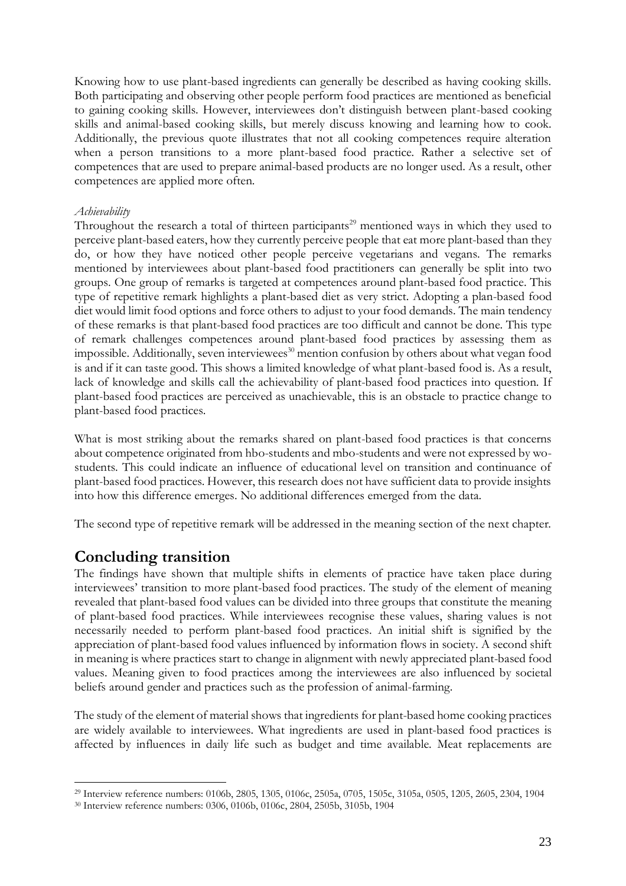Knowing how to use plant-based ingredients can generally be described as having cooking skills. Both participating and observing other people perform food practices are mentioned as beneficial to gaining cooking skills. However, interviewees don't distinguish between plant-based cooking skills and animal-based cooking skills, but merely discuss knowing and learning how to cook. Additionally, the previous quote illustrates that not all cooking competences require alteration when a person transitions to a more plant-based food practice. Rather a selective set of competences that are used to prepare animal-based products are no longer used. As a result, other competences are applied more often.

### *Achievability*

Throughout the research a total of thirteen participants<sup>29</sup> mentioned ways in which they used to perceive plant-based eaters, how they currently perceive people that eat more plant-based than they do, or how they have noticed other people perceive vegetarians and vegans. The remarks mentioned by interviewees about plant-based food practitioners can generally be split into two groups. One group of remarks is targeted at competences around plant-based food practice. This type of repetitive remark highlights a plant-based diet as very strict. Adopting a plan-based food diet would limit food options and force others to adjust to your food demands. The main tendency of these remarks is that plant-based food practices are too difficult and cannot be done. This type of remark challenges competences around plant-based food practices by assessing them as impossible. Additionally, seven interviewees<sup>30</sup> mention confusion by others about what vegan food is and if it can taste good. This shows a limited knowledge of what plant-based food is. As a result, lack of knowledge and skills call the achievability of plant-based food practices into question. If plant-based food practices are perceived as unachievable, this is an obstacle to practice change to plant-based food practices.

What is most striking about the remarks shared on plant-based food practices is that concerns about competence originated from hbo-students and mbo-students and were not expressed by wostudents. This could indicate an influence of educational level on transition and continuance of plant-based food practices. However, this research does not have sufficient data to provide insights into how this difference emerges. No additional differences emerged from the data.

The second type of repetitive remark will be addressed in the meaning section of the next chapter.

## **Concluding transition**

The findings have shown that multiple shifts in elements of practice have taken place during interviewees' transition to more plant-based food practices. The study of the element of meaning revealed that plant-based food values can be divided into three groups that constitute the meaning of plant-based food practices. While interviewees recognise these values, sharing values is not necessarily needed to perform plant-based food practices. An initial shift is signified by the appreciation of plant-based food values influenced by information flows in society. A second shift in meaning is where practices start to change in alignment with newly appreciated plant-based food values. Meaning given to food practices among the interviewees are also influenced by societal beliefs around gender and practices such as the profession of animal-farming.

The study of the element of material shows that ingredients for plant-based home cooking practices are widely available to interviewees. What ingredients are used in plant-based food practices is affected by influences in daily life such as budget and time available. Meat replacements are

<sup>29</sup> Interview reference numbers: 0106b, 2805, 1305, 0106c, 2505a, 0705, 1505c, 3105a, 0505, 1205, 2605, 2304, 1904

<sup>30</sup> Interview reference numbers: 0306, 0106b, 0106c, 2804, 2505b, 3105b, 1904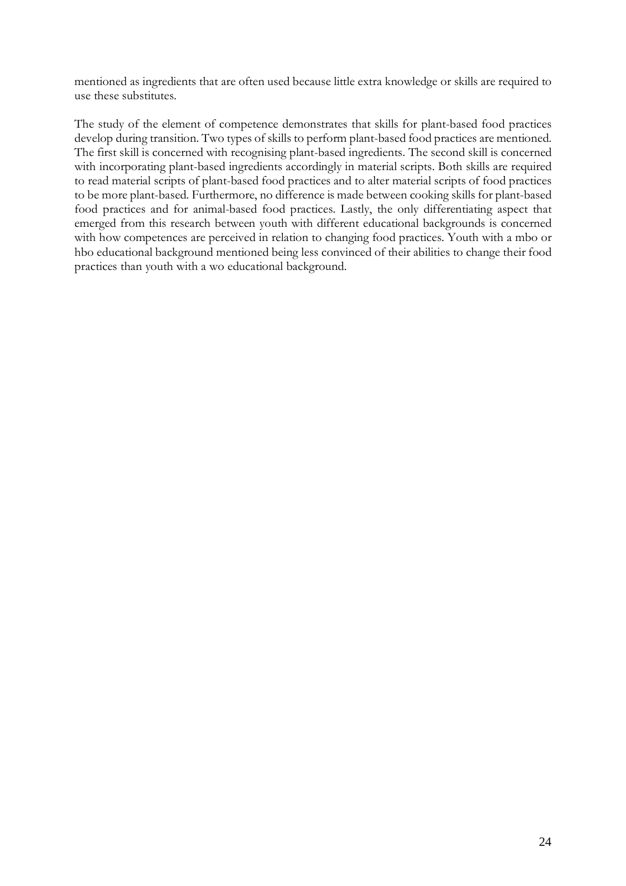mentioned as ingredients that are often used because little extra knowledge or skills are required to use these substitutes.

The study of the element of competence demonstrates that skills for plant-based food practices develop during transition. Two types of skills to perform plant-based food practices are mentioned. The first skill is concerned with recognising plant-based ingredients. The second skill is concerned with incorporating plant-based ingredients accordingly in material scripts. Both skills are required to read material scripts of plant-based food practices and to alter material scripts of food practices to be more plant-based. Furthermore, no difference is made between cooking skills for plant-based food practices and for animal-based food practices. Lastly, the only differentiating aspect that emerged from this research between youth with different educational backgrounds is concerned with how competences are perceived in relation to changing food practices. Youth with a mbo or hbo educational background mentioned being less convinced of their abilities to change their food practices than youth with a wo educational background.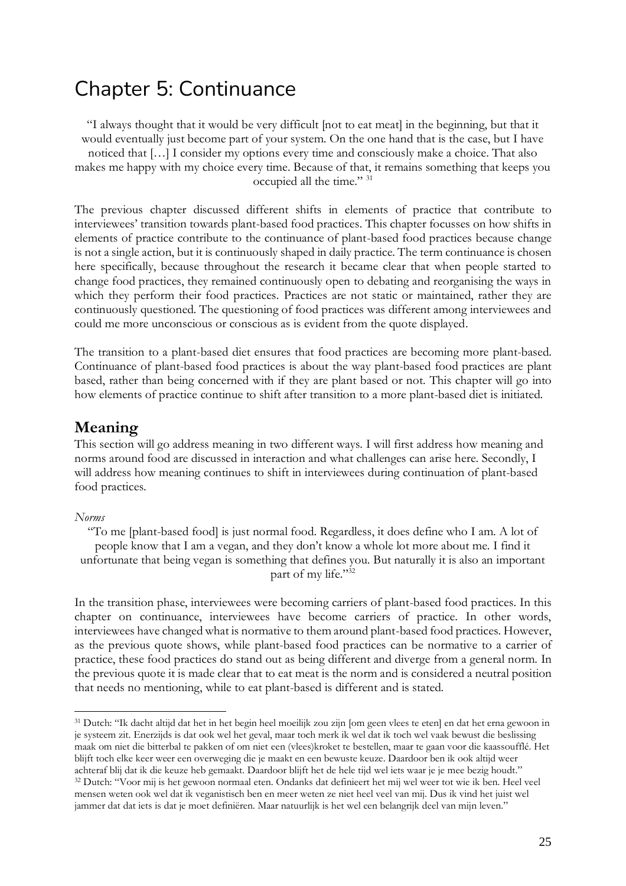## Chapter 5: Continuance

"I always thought that it would be very difficult [not to eat meat] in the beginning, but that it would eventually just become part of your system. On the one hand that is the case, but I have noticed that […] I consider my options every time and consciously make a choice. That also makes me happy with my choice every time. Because of that, it remains something that keeps you occupied all the time." <sup>31</sup>

The previous chapter discussed different shifts in elements of practice that contribute to interviewees' transition towards plant-based food practices. This chapter focusses on how shifts in elements of practice contribute to the continuance of plant-based food practices because change is not a single action, but it is continuously shaped in daily practice. The term continuance is chosen here specifically, because throughout the research it became clear that when people started to change food practices, they remained continuously open to debating and reorganising the ways in which they perform their food practices. Practices are not static or maintained, rather they are continuously questioned. The questioning of food practices was different among interviewees and could me more unconscious or conscious as is evident from the quote displayed.

The transition to a plant-based diet ensures that food practices are becoming more plant-based. Continuance of plant-based food practices is about the way plant-based food practices are plant based, rather than being concerned with if they are plant based or not. This chapter will go into how elements of practice continue to shift after transition to a more plant-based diet is initiated.

## **Meaning**

This section will go address meaning in two different ways. I will first address how meaning and norms around food are discussed in interaction and what challenges can arise here. Secondly, I will address how meaning continues to shift in interviewees during continuation of plant-based food practices.

#### *Norms*

"To me [plant-based food] is just normal food. Regardless, it does define who I am. A lot of people know that I am a vegan, and they don't know a whole lot more about me. I find it unfortunate that being vegan is something that defines you. But naturally it is also an important part of my life."32

In the transition phase, interviewees were becoming carriers of plant-based food practices. In this chapter on continuance, interviewees have become carriers of practice. In other words, interviewees have changed what is normative to them around plant-based food practices. However, as the previous quote shows, while plant-based food practices can be normative to a carrier of practice, these food practices do stand out as being different and diverge from a general norm. In the previous quote it is made clear that to eat meat is the norm and is considered a neutral position that needs no mentioning, while to eat plant-based is different and is stated.

<sup>31</sup> Dutch: "Ik dacht altijd dat het in het begin heel moeilijk zou zijn [om geen vlees te eten] en dat het erna gewoon in je systeem zit. Enerzijds is dat ook wel het geval, maar toch merk ik wel dat ik toch wel vaak bewust die beslissing maak om niet die bitterbal te pakken of om niet een (vlees)kroket te bestellen, maar te gaan voor die kaassoufflé. Het blijft toch elke keer weer een overweging die je maakt en een bewuste keuze. Daardoor ben ik ook altijd weer achteraf blij dat ik die keuze heb gemaakt. Daardoor blijft het de hele tijd wel iets waar je je mee bezig houdt." <sup>32</sup> Dutch: "Voor mij is het gewoon normaal eten. Ondanks dat definieert het mij wel weer tot wie ik ben. Heel veel mensen weten ook wel dat ik veganistisch ben en meer weten ze niet heel veel van mij. Dus ik vind het juist wel jammer dat dat iets is dat je moet definiëren. Maar natuurlijk is het wel een belangrijk deel van mijn leven."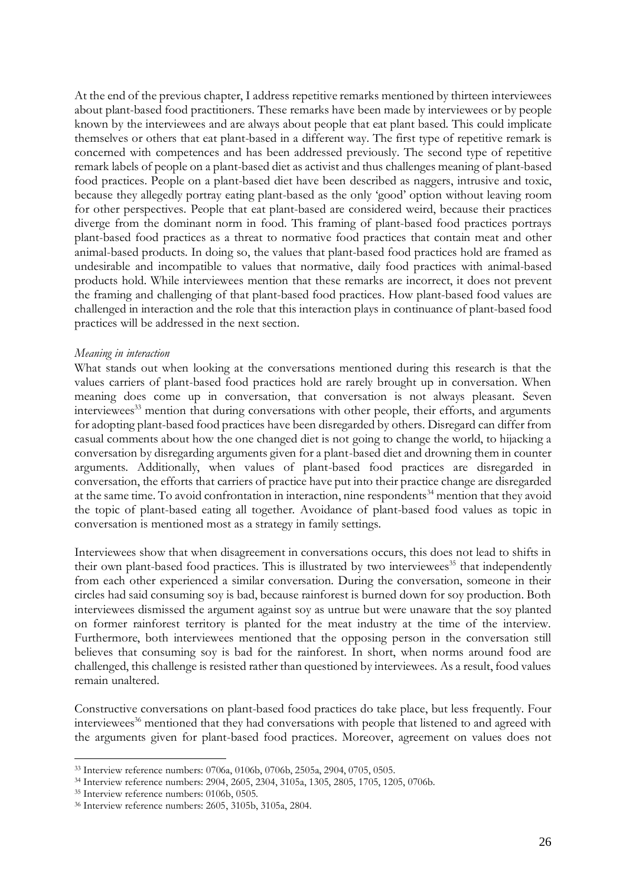At the end of the previous chapter, I address repetitive remarks mentioned by thirteen interviewees about plant-based food practitioners. These remarks have been made by interviewees or by people known by the interviewees and are always about people that eat plant based. This could implicate themselves or others that eat plant-based in a different way. The first type of repetitive remark is concerned with competences and has been addressed previously. The second type of repetitive remark labels of people on a plant-based diet as activist and thus challenges meaning of plant-based food practices. People on a plant-based diet have been described as naggers, intrusive and toxic, because they allegedly portray eating plant-based as the only 'good' option without leaving room for other perspectives. People that eat plant-based are considered weird, because their practices diverge from the dominant norm in food. This framing of plant-based food practices portrays plant-based food practices as a threat to normative food practices that contain meat and other animal-based products. In doing so, the values that plant-based food practices hold are framed as undesirable and incompatible to values that normative, daily food practices with animal-based products hold. While interviewees mention that these remarks are incorrect, it does not prevent the framing and challenging of that plant-based food practices. How plant-based food values are challenged in interaction and the role that this interaction plays in continuance of plant-based food practices will be addressed in the next section.

#### *Meaning in interaction*

What stands out when looking at the conversations mentioned during this research is that the values carriers of plant-based food practices hold are rarely brought up in conversation. When meaning does come up in conversation, that conversation is not always pleasant. Seven interviewees<sup>33</sup> mention that during conversations with other people, their efforts, and arguments for adopting plant-based food practices have been disregarded by others. Disregard can differ from casual comments about how the one changed diet is not going to change the world, to hijacking a conversation by disregarding arguments given for a plant-based diet and drowning them in counter arguments. Additionally, when values of plant-based food practices are disregarded in conversation, the efforts that carriers of practice have put into their practice change are disregarded at the same time. To avoid confrontation in interaction, nine respondents<sup>34</sup> mention that they avoid the topic of plant-based eating all together. Avoidance of plant-based food values as topic in conversation is mentioned most as a strategy in family settings.

Interviewees show that when disagreement in conversations occurs, this does not lead to shifts in their own plant-based food practices. This is illustrated by two interviewees<sup>35</sup> that independently from each other experienced a similar conversation. During the conversation, someone in their circles had said consuming soy is bad, because rainforest is burned down for soy production. Both interviewees dismissed the argument against soy as untrue but were unaware that the soy planted on former rainforest territory is planted for the meat industry at the time of the interview. Furthermore, both interviewees mentioned that the opposing person in the conversation still believes that consuming soy is bad for the rainforest. In short, when norms around food are challenged, this challenge is resisted rather than questioned by interviewees. As a result, food values remain unaltered.

Constructive conversations on plant-based food practices do take place, but less frequently. Four interviewees<sup>36</sup> mentioned that they had conversations with people that listened to and agreed with the arguments given for plant-based food practices. Moreover, agreement on values does not

<sup>33</sup> Interview reference numbers: 0706a, 0106b, 0706b, 2505a, 2904, 0705, 0505.

<sup>34</sup> Interview reference numbers: 2904, 2605, 2304, 3105a, 1305, 2805, 1705, 1205, 0706b.

<sup>35</sup> Interview reference numbers: 0106b, 0505.

<sup>36</sup> Interview reference numbers: 2605, 3105b, 3105a, 2804.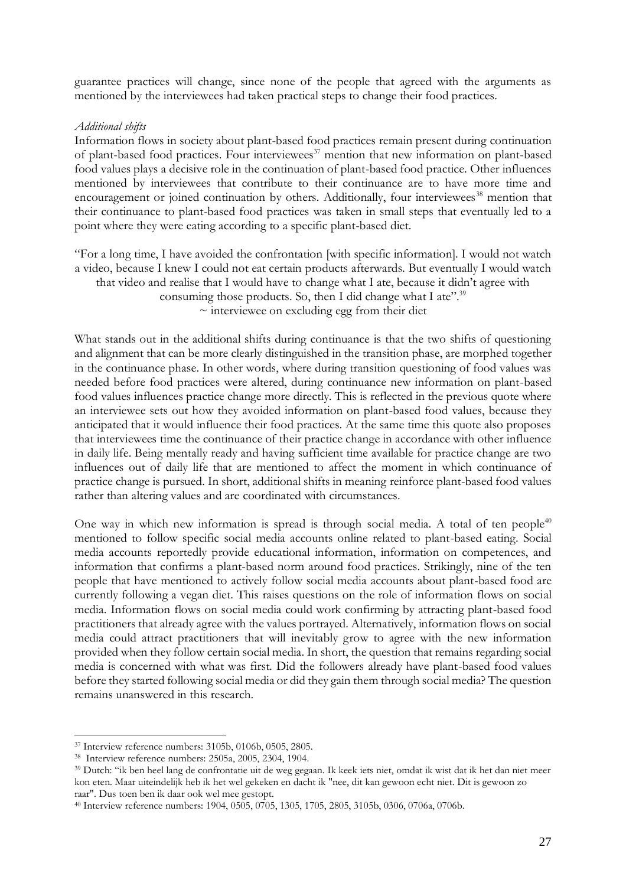guarantee practices will change, since none of the people that agreed with the arguments as mentioned by the interviewees had taken practical steps to change their food practices.

### *Additional shifts*

Information flows in society about plant-based food practices remain present during continuation of plant-based food practices. Four interviewees<sup>37</sup> mention that new information on plant-based food values plays a decisive role in the continuation of plant-based food practice. Other influences mentioned by interviewees that contribute to their continuance are to have more time and encouragement or joined continuation by others. Additionally, four interviewees<sup>38</sup> mention that their continuance to plant-based food practices was taken in small steps that eventually led to a point where they were eating according to a specific plant-based diet.

"For a long time, I have avoided the confrontation [with specific information]. I would not watch a video, because I knew I could not eat certain products afterwards. But eventually I would watch that video and realise that I would have to change what I ate, because it didn't agree with consuming those products. So, then I did change what I ate".<sup>39</sup>  $\sim$  interviewee on excluding egg from their diet

What stands out in the additional shifts during continuance is that the two shifts of questioning and alignment that can be more clearly distinguished in the transition phase, are morphed together in the continuance phase. In other words, where during transition questioning of food values was needed before food practices were altered, during continuance new information on plant-based food values influences practice change more directly. This is reflected in the previous quote where an interviewee sets out how they avoided information on plant-based food values, because they anticipated that it would influence their food practices. At the same time this quote also proposes that interviewees time the continuance of their practice change in accordance with other influence in daily life. Being mentally ready and having sufficient time available for practice change are two influences out of daily life that are mentioned to affect the moment in which continuance of practice change is pursued. In short, additional shifts in meaning reinforce plant-based food values rather than altering values and are coordinated with circumstances.

One way in which new information is spread is through social media. A total of ten people<sup>40</sup> mentioned to follow specific social media accounts online related to plant-based eating. Social media accounts reportedly provide educational information, information on competences, and information that confirms a plant-based norm around food practices. Strikingly, nine of the ten people that have mentioned to actively follow social media accounts about plant-based food are currently following a vegan diet. This raises questions on the role of information flows on social media. Information flows on social media could work confirming by attracting plant-based food practitioners that already agree with the values portrayed. Alternatively, information flows on social media could attract practitioners that will inevitably grow to agree with the new information provided when they follow certain social media. In short, the question that remains regarding social media is concerned with what was first. Did the followers already have plant-based food values before they started following social media or did they gain them through social media? The question remains unanswered in this research.

<sup>37</sup> Interview reference numbers: 3105b, 0106b, 0505, 2805.

<sup>38</sup> Interview reference numbers: 2505a, 2005, 2304, 1904.

<sup>39</sup> Dutch: "ik ben heel lang de confrontatie uit de weg gegaan. Ik keek iets niet, omdat ik wist dat ik het dan niet meer kon eten. Maar uiteindelijk heb ik het wel gekeken en dacht ik "nee, dit kan gewoon echt niet. Dit is gewoon zo raar". Dus toen ben ik daar ook wel mee gestopt.

<sup>40</sup> Interview reference numbers: 1904, 0505, 0705, 1305, 1705, 2805, 3105b, 0306, 0706a, 0706b.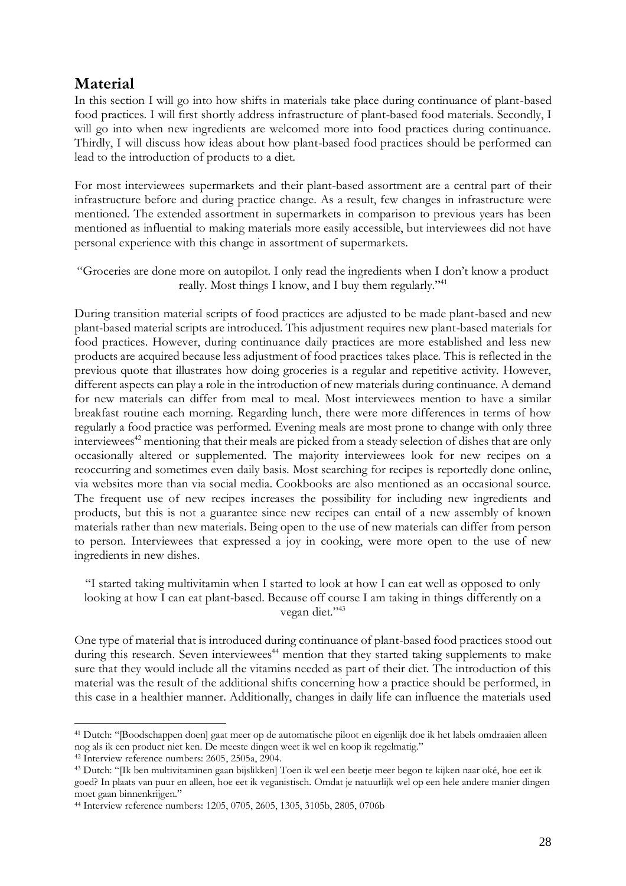## **Material**

In this section I will go into how shifts in materials take place during continuance of plant-based food practices. I will first shortly address infrastructure of plant-based food materials. Secondly, I will go into when new ingredients are welcomed more into food practices during continuance. Thirdly, I will discuss how ideas about how plant-based food practices should be performed can lead to the introduction of products to a diet.

For most interviewees supermarkets and their plant-based assortment are a central part of their infrastructure before and during practice change. As a result, few changes in infrastructure were mentioned. The extended assortment in supermarkets in comparison to previous years has been mentioned as influential to making materials more easily accessible, but interviewees did not have personal experience with this change in assortment of supermarkets.

"Groceries are done more on autopilot. I only read the ingredients when I don't know a product really. Most things I know, and I buy them regularly."<sup>41</sup>

During transition material scripts of food practices are adjusted to be made plant-based and new plant-based material scripts are introduced. This adjustment requires new plant-based materials for food practices. However, during continuance daily practices are more established and less new products are acquired because less adjustment of food practices takes place. This is reflected in the previous quote that illustrates how doing groceries is a regular and repetitive activity. However, different aspects can play a role in the introduction of new materials during continuance. A demand for new materials can differ from meal to meal. Most interviewees mention to have a similar breakfast routine each morning. Regarding lunch, there were more differences in terms of how regularly a food practice was performed. Evening meals are most prone to change with only three interviewees<sup>42</sup> mentioning that their meals are picked from a steady selection of dishes that are only occasionally altered or supplemented. The majority interviewees look for new recipes on a reoccurring and sometimes even daily basis. Most searching for recipes is reportedly done online, via websites more than via social media. Cookbooks are also mentioned as an occasional source. The frequent use of new recipes increases the possibility for including new ingredients and products, but this is not a guarantee since new recipes can entail of a new assembly of known materials rather than new materials. Being open to the use of new materials can differ from person to person. Interviewees that expressed a joy in cooking, were more open to the use of new ingredients in new dishes.

"I started taking multivitamin when I started to look at how I can eat well as opposed to only looking at how I can eat plant-based. Because off course I am taking in things differently on a vegan diet."<sup>43</sup>

One type of material that is introduced during continuance of plant-based food practices stood out during this research. Seven interviewees<sup>44</sup> mention that they started taking supplements to make sure that they would include all the vitamins needed as part of their diet. The introduction of this material was the result of the additional shifts concerning how a practice should be performed, in this case in a healthier manner. Additionally, changes in daily life can influence the materials used

<sup>41</sup> Dutch: "[Boodschappen doen] gaat meer op de automatische piloot en eigenlijk doe ik het labels omdraaien alleen nog als ik een product niet ken. De meeste dingen weet ik wel en koop ik regelmatig."

<sup>42</sup> Interview reference numbers: 2605, 2505a, 2904.

<sup>43</sup> Dutch: "[Ik ben multivitaminen gaan bijslikken] Toen ik wel een beetje meer begon te kijken naar oké, hoe eet ik goed? In plaats van puur en alleen, hoe eet ik veganistisch. Omdat je natuurlijk wel op een hele andere manier dingen moet gaan binnenkrijgen."

<sup>44</sup> Interview reference numbers: 1205, 0705, 2605, 1305, 3105b, 2805, 0706b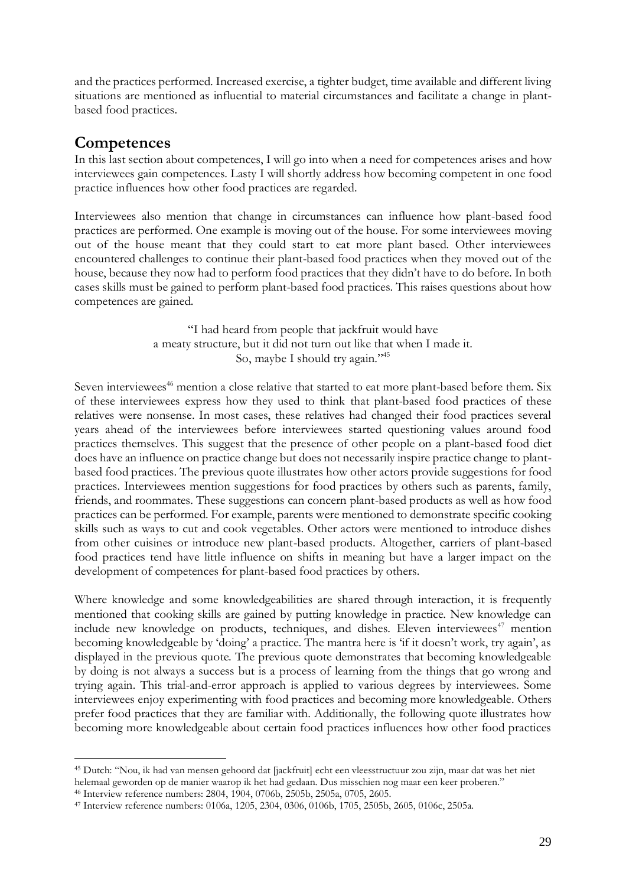and the practices performed. Increased exercise, a tighter budget, time available and different living situations are mentioned as influential to material circumstances and facilitate a change in plantbased food practices.

## **Competences**

In this last section about competences, I will go into when a need for competences arises and how interviewees gain competences. Lasty I will shortly address how becoming competent in one food practice influences how other food practices are regarded.

Interviewees also mention that change in circumstances can influence how plant-based food practices are performed. One example is moving out of the house. For some interviewees moving out of the house meant that they could start to eat more plant based. Other interviewees encountered challenges to continue their plant-based food practices when they moved out of the house, because they now had to perform food practices that they didn't have to do before. In both cases skills must be gained to perform plant-based food practices. This raises questions about how competences are gained.

> "I had heard from people that jackfruit would have a meaty structure, but it did not turn out like that when I made it. So, maybe I should try again."<sup>45</sup>

Seven interviewees<sup>46</sup> mention a close relative that started to eat more plant-based before them. Six of these interviewees express how they used to think that plant-based food practices of these relatives were nonsense. In most cases, these relatives had changed their food practices several years ahead of the interviewees before interviewees started questioning values around food practices themselves. This suggest that the presence of other people on a plant-based food diet does have an influence on practice change but does not necessarily inspire practice change to plantbased food practices. The previous quote illustrates how other actors provide suggestions for food practices. Interviewees mention suggestions for food practices by others such as parents, family, friends, and roommates. These suggestions can concern plant-based products as well as how food practices can be performed. For example, parents were mentioned to demonstrate specific cooking skills such as ways to cut and cook vegetables. Other actors were mentioned to introduce dishes from other cuisines or introduce new plant-based products. Altogether, carriers of plant-based food practices tend have little influence on shifts in meaning but have a larger impact on the development of competences for plant-based food practices by others.

Where knowledge and some knowledgeabilities are shared through interaction, it is frequently mentioned that cooking skills are gained by putting knowledge in practice. New knowledge can include new knowledge on products, techniques, and dishes. Eleven interviewees<sup>47</sup> mention becoming knowledgeable by 'doing' a practice. The mantra here is 'if it doesn't work, try again', as displayed in the previous quote. The previous quote demonstrates that becoming knowledgeable by doing is not always a success but is a process of learning from the things that go wrong and trying again. This trial-and-error approach is applied to various degrees by interviewees. Some interviewees enjoy experimenting with food practices and becoming more knowledgeable. Others prefer food practices that they are familiar with. Additionally, the following quote illustrates how becoming more knowledgeable about certain food practices influences how other food practices

<sup>45</sup> Dutch: "Nou, ik had van mensen gehoord dat [jackfruit] echt een vleesstructuur zou zijn, maar dat was het niet helemaal geworden op de manier waarop ik het had gedaan. Dus misschien nog maar een keer proberen."

<sup>46</sup> Interview reference numbers: 2804, 1904, 0706b, 2505b, 2505a, 0705, 2605.

<sup>47</sup> Interview reference numbers: 0106a, 1205, 2304, 0306, 0106b, 1705, 2505b, 2605, 0106c, 2505a.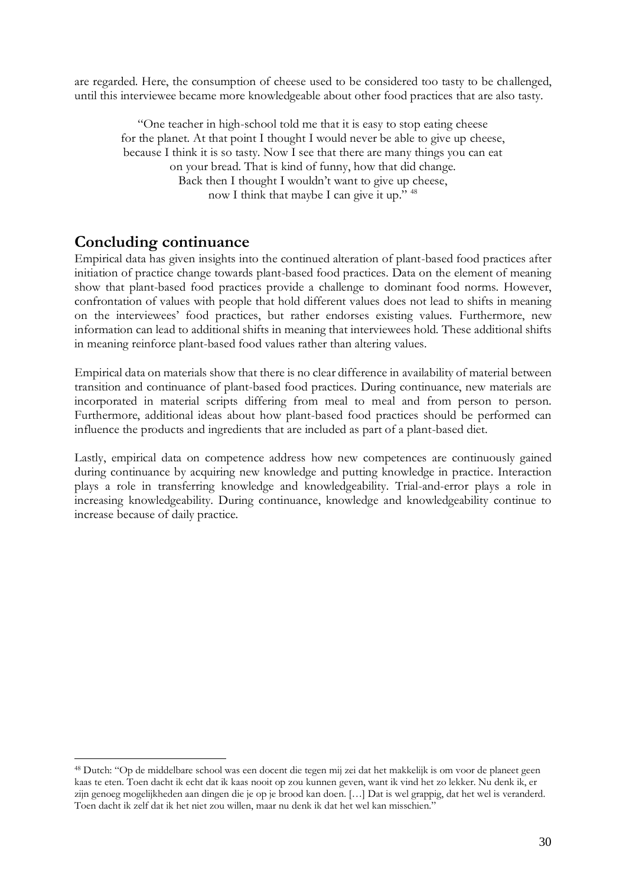are regarded. Here, the consumption of cheese used to be considered too tasty to be challenged, until this interviewee became more knowledgeable about other food practices that are also tasty.

"One teacher in high-school told me that it is easy to stop eating cheese for the planet. At that point I thought I would never be able to give up cheese, because I think it is so tasty. Now I see that there are many things you can eat on your bread. That is kind of funny, how that did change. Back then I thought I wouldn't want to give up cheese, now I think that maybe I can give it up." <sup>48</sup>

## **Concluding continuance**

Empirical data has given insights into the continued alteration of plant-based food practices after initiation of practice change towards plant-based food practices. Data on the element of meaning show that plant-based food practices provide a challenge to dominant food norms. However, confrontation of values with people that hold different values does not lead to shifts in meaning on the interviewees' food practices, but rather endorses existing values. Furthermore, new information can lead to additional shifts in meaning that interviewees hold. These additional shifts in meaning reinforce plant-based food values rather than altering values.

Empirical data on materials show that there is no clear difference in availability of material between transition and continuance of plant-based food practices. During continuance, new materials are incorporated in material scripts differing from meal to meal and from person to person. Furthermore, additional ideas about how plant-based food practices should be performed can influence the products and ingredients that are included as part of a plant-based diet.

Lastly, empirical data on competence address how new competences are continuously gained during continuance by acquiring new knowledge and putting knowledge in practice. Interaction plays a role in transferring knowledge and knowledgeability. Trial-and-error plays a role in increasing knowledgeability. During continuance, knowledge and knowledgeability continue to increase because of daily practice.

<sup>48</sup> Dutch: "Op de middelbare school was een docent die tegen mij zei dat het makkelijk is om voor de planeet geen kaas te eten. Toen dacht ik echt dat ik kaas nooit op zou kunnen geven, want ik vind het zo lekker. Nu denk ik, er zijn genoeg mogelijkheden aan dingen die je op je brood kan doen. […] Dat is wel grappig, dat het wel is veranderd. Toen dacht ik zelf dat ik het niet zou willen, maar nu denk ik dat het wel kan misschien."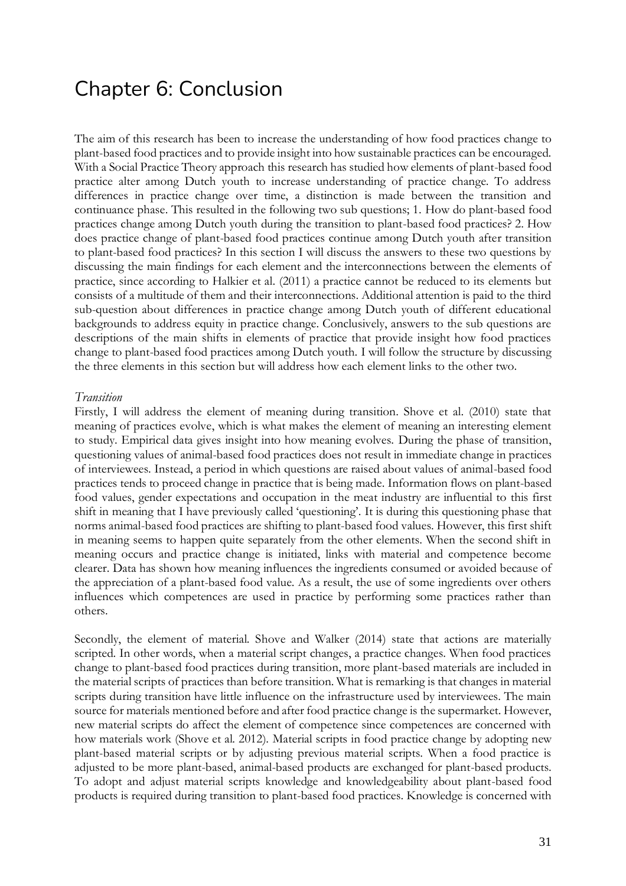## Chapter 6: Conclusion

The aim of this research has been to increase the understanding of how food practices change to plant-based food practices and to provide insight into how sustainable practices can be encouraged. With a Social Practice Theory approach this research has studied how elements of plant-based food practice alter among Dutch youth to increase understanding of practice change. To address differences in practice change over time, a distinction is made between the transition and continuance phase. This resulted in the following two sub questions; 1. How do plant-based food practices change among Dutch youth during the transition to plant-based food practices? 2. How does practice change of plant-based food practices continue among Dutch youth after transition to plant-based food practices? In this section I will discuss the answers to these two questions by discussing the main findings for each element and the interconnections between the elements of practice, since according to Halkier et al. (2011) a practice cannot be reduced to its elements but consists of a multitude of them and their interconnections. Additional attention is paid to the third sub-question about differences in practice change among Dutch youth of different educational backgrounds to address equity in practice change. Conclusively, answers to the sub questions are descriptions of the main shifts in elements of practice that provide insight how food practices change to plant-based food practices among Dutch youth. I will follow the structure by discussing the three elements in this section but will address how each element links to the other two.

#### *Transition*

Firstly, I will address the element of meaning during transition. Shove et al. (2010) state that meaning of practices evolve, which is what makes the element of meaning an interesting element to study. Empirical data gives insight into how meaning evolves. During the phase of transition, questioning values of animal-based food practices does not result in immediate change in practices of interviewees. Instead, a period in which questions are raised about values of animal-based food practices tends to proceed change in practice that is being made. Information flows on plant-based food values, gender expectations and occupation in the meat industry are influential to this first shift in meaning that I have previously called 'questioning'. It is during this questioning phase that norms animal-based food practices are shifting to plant-based food values. However, this first shift in meaning seems to happen quite separately from the other elements. When the second shift in meaning occurs and practice change is initiated, links with material and competence become clearer. Data has shown how meaning influences the ingredients consumed or avoided because of the appreciation of a plant-based food value. As a result, the use of some ingredients over others influences which competences are used in practice by performing some practices rather than others.

Secondly, the element of material. Shove and Walker (2014) state that actions are materially scripted. In other words, when a material script changes, a practice changes. When food practices change to plant-based food practices during transition, more plant-based materials are included in the material scripts of practices than before transition. What is remarking is that changes in material scripts during transition have little influence on the infrastructure used by interviewees. The main source for materials mentioned before and after food practice change is the supermarket. However, new material scripts do affect the element of competence since competences are concerned with how materials work (Shove et al. 2012). Material scripts in food practice change by adopting new plant-based material scripts or by adjusting previous material scripts. When a food practice is adjusted to be more plant-based, animal-based products are exchanged for plant-based products. To adopt and adjust material scripts knowledge and knowledgeability about plant-based food products is required during transition to plant-based food practices. Knowledge is concerned with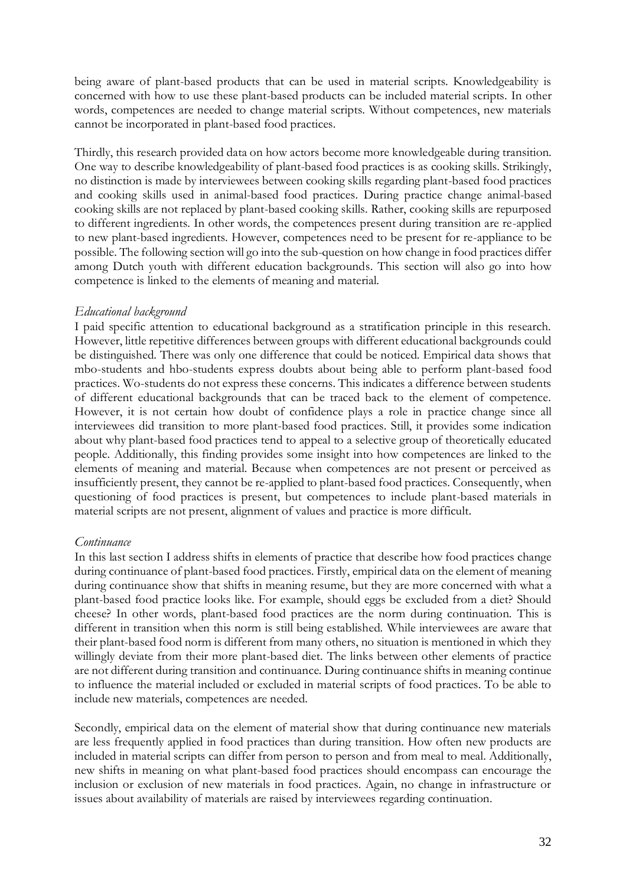being aware of plant-based products that can be used in material scripts. Knowledgeability is concerned with how to use these plant-based products can be included material scripts. In other words, competences are needed to change material scripts. Without competences, new materials cannot be incorporated in plant-based food practices.

Thirdly, this research provided data on how actors become more knowledgeable during transition. One way to describe knowledgeability of plant-based food practices is as cooking skills. Strikingly, no distinction is made by interviewees between cooking skills regarding plant-based food practices and cooking skills used in animal-based food practices. During practice change animal-based cooking skills are not replaced by plant-based cooking skills. Rather, cooking skills are repurposed to different ingredients. In other words, the competences present during transition are re-applied to new plant-based ingredients. However, competences need to be present for re-appliance to be possible. The following section will go into the sub-question on how change in food practices differ among Dutch youth with different education backgrounds. This section will also go into how competence is linked to the elements of meaning and material.

## *Educational background*

I paid specific attention to educational background as a stratification principle in this research. However, little repetitive differences between groups with different educational backgrounds could be distinguished. There was only one difference that could be noticed. Empirical data shows that mbo-students and hbo-students express doubts about being able to perform plant-based food practices. Wo-students do not express these concerns. This indicates a difference between students of different educational backgrounds that can be traced back to the element of competence. However, it is not certain how doubt of confidence plays a role in practice change since all interviewees did transition to more plant-based food practices. Still, it provides some indication about why plant-based food practices tend to appeal to a selective group of theoretically educated people. Additionally, this finding provides some insight into how competences are linked to the elements of meaning and material. Because when competences are not present or perceived as insufficiently present, they cannot be re-applied to plant-based food practices. Consequently, when questioning of food practices is present, but competences to include plant-based materials in material scripts are not present, alignment of values and practice is more difficult.

## *Continuance*

In this last section I address shifts in elements of practice that describe how food practices change during continuance of plant-based food practices. Firstly, empirical data on the element of meaning during continuance show that shifts in meaning resume, but they are more concerned with what a plant-based food practice looks like. For example, should eggs be excluded from a diet? Should cheese? In other words, plant-based food practices are the norm during continuation. This is different in transition when this norm is still being established. While interviewees are aware that their plant-based food norm is different from many others, no situation is mentioned in which they willingly deviate from their more plant-based diet. The links between other elements of practice are not different during transition and continuance. During continuance shifts in meaning continue to influence the material included or excluded in material scripts of food practices. To be able to include new materials, competences are needed.

Secondly, empirical data on the element of material show that during continuance new materials are less frequently applied in food practices than during transition. How often new products are included in material scripts can differ from person to person and from meal to meal. Additionally, new shifts in meaning on what plant-based food practices should encompass can encourage the inclusion or exclusion of new materials in food practices. Again, no change in infrastructure or issues about availability of materials are raised by interviewees regarding continuation.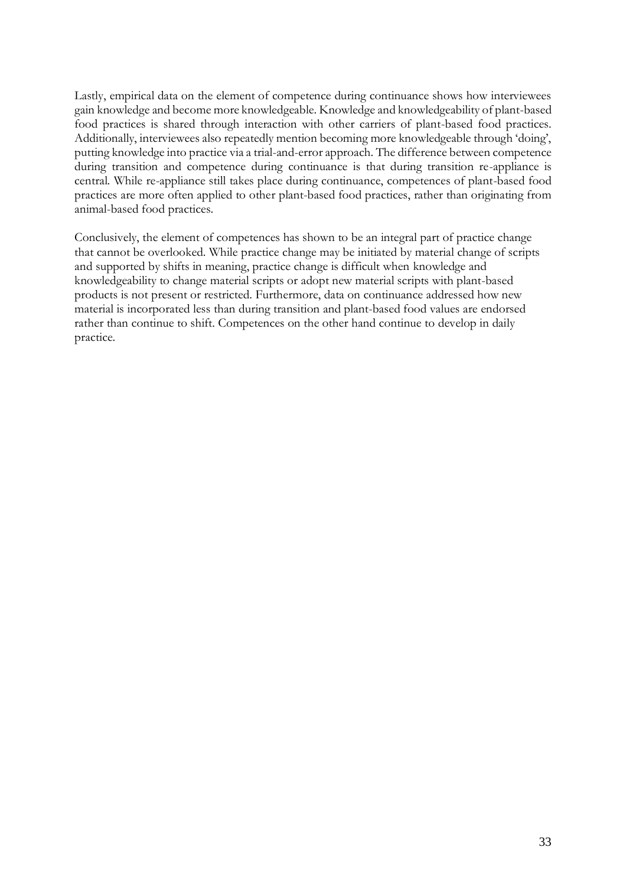Lastly, empirical data on the element of competence during continuance shows how interviewees gain knowledge and become more knowledgeable. Knowledge and knowledgeability of plant-based food practices is shared through interaction with other carriers of plant-based food practices. Additionally, interviewees also repeatedly mention becoming more knowledgeable through 'doing', putting knowledge into practice via a trial-and-error approach. The difference between competence during transition and competence during continuance is that during transition re-appliance is central. While re-appliance still takes place during continuance, competences of plant-based food practices are more often applied to other plant-based food practices, rather than originating from animal-based food practices.

Conclusively, the element of competences has shown to be an integral part of practice change that cannot be overlooked. While practice change may be initiated by material change of scripts and supported by shifts in meaning, practice change is difficult when knowledge and knowledgeability to change material scripts or adopt new material scripts with plant-based products is not present or restricted. Furthermore, data on continuance addressed how new material is incorporated less than during transition and plant-based food values are endorsed rather than continue to shift. Competences on the other hand continue to develop in daily practice.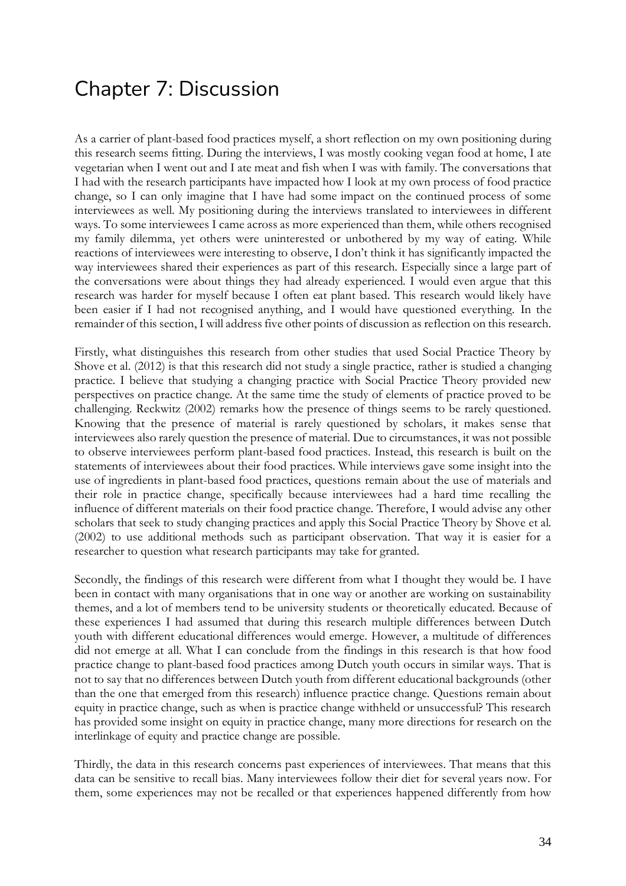## Chapter 7: Discussion

As a carrier of plant-based food practices myself, a short reflection on my own positioning during this research seems fitting. During the interviews, I was mostly cooking vegan food at home, I ate vegetarian when I went out and I ate meat and fish when I was with family. The conversations that I had with the research participants have impacted how I look at my own process of food practice change, so I can only imagine that I have had some impact on the continued process of some interviewees as well. My positioning during the interviews translated to interviewees in different ways. To some interviewees I came across as more experienced than them, while others recognised my family dilemma, yet others were uninterested or unbothered by my way of eating. While reactions of interviewees were interesting to observe, I don't think it has significantly impacted the way interviewees shared their experiences as part of this research. Especially since a large part of the conversations were about things they had already experienced. I would even argue that this research was harder for myself because I often eat plant based. This research would likely have been easier if I had not recognised anything, and I would have questioned everything. In the remainder of this section, I will address five other points of discussion as reflection on this research.

Firstly, what distinguishes this research from other studies that used Social Practice Theory by Shove et al. (2012) is that this research did not study a single practice, rather is studied a changing practice. I believe that studying a changing practice with Social Practice Theory provided new perspectives on practice change. At the same time the study of elements of practice proved to be challenging. Reckwitz (2002) remarks how the presence of things seems to be rarely questioned. Knowing that the presence of material is rarely questioned by scholars, it makes sense that interviewees also rarely question the presence of material. Due to circumstances, it was not possible to observe interviewees perform plant-based food practices. Instead, this research is built on the statements of interviewees about their food practices. While interviews gave some insight into the use of ingredients in plant-based food practices, questions remain about the use of materials and their role in practice change, specifically because interviewees had a hard time recalling the influence of different materials on their food practice change. Therefore, I would advise any other scholars that seek to study changing practices and apply this Social Practice Theory by Shove et al. (2002) to use additional methods such as participant observation. That way it is easier for a researcher to question what research participants may take for granted.

Secondly, the findings of this research were different from what I thought they would be. I have been in contact with many organisations that in one way or another are working on sustainability themes, and a lot of members tend to be university students or theoretically educated. Because of these experiences I had assumed that during this research multiple differences between Dutch youth with different educational differences would emerge. However, a multitude of differences did not emerge at all. What I can conclude from the findings in this research is that how food practice change to plant-based food practices among Dutch youth occurs in similar ways. That is not to say that no differences between Dutch youth from different educational backgrounds (other than the one that emerged from this research) influence practice change. Questions remain about equity in practice change, such as when is practice change withheld or unsuccessful? This research has provided some insight on equity in practice change, many more directions for research on the interlinkage of equity and practice change are possible.

Thirdly, the data in this research concerns past experiences of interviewees. That means that this data can be sensitive to recall bias. Many interviewees follow their diet for several years now. For them, some experiences may not be recalled or that experiences happened differently from how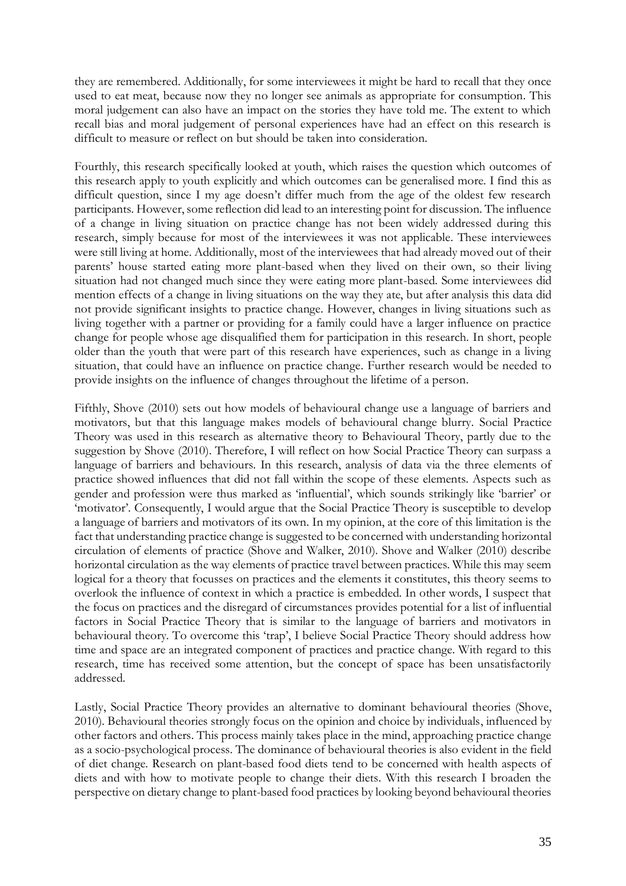they are remembered. Additionally, for some interviewees it might be hard to recall that they once used to eat meat, because now they no longer see animals as appropriate for consumption. This moral judgement can also have an impact on the stories they have told me. The extent to which recall bias and moral judgement of personal experiences have had an effect on this research is difficult to measure or reflect on but should be taken into consideration.

Fourthly, this research specifically looked at youth, which raises the question which outcomes of this research apply to youth explicitly and which outcomes can be generalised more. I find this as difficult question, since I my age doesn't differ much from the age of the oldest few research participants. However, some reflection did lead to an interesting point for discussion. The influence of a change in living situation on practice change has not been widely addressed during this research, simply because for most of the interviewees it was not applicable. These interviewees were still living at home. Additionally, most of the interviewees that had already moved out of their parents' house started eating more plant-based when they lived on their own, so their living situation had not changed much since they were eating more plant-based. Some interviewees did mention effects of a change in living situations on the way they ate, but after analysis this data did not provide significant insights to practice change. However, changes in living situations such as living together with a partner or providing for a family could have a larger influence on practice change for people whose age disqualified them for participation in this research. In short, people older than the youth that were part of this research have experiences, such as change in a living situation, that could have an influence on practice change. Further research would be needed to provide insights on the influence of changes throughout the lifetime of a person.

Fifthly, Shove (2010) sets out how models of behavioural change use a language of barriers and motivators, but that this language makes models of behavioural change blurry. Social Practice Theory was used in this research as alternative theory to Behavioural Theory, partly due to the suggestion by Shove (2010). Therefore, I will reflect on how Social Practice Theory can surpass a language of barriers and behaviours. In this research, analysis of data via the three elements of practice showed influences that did not fall within the scope of these elements. Aspects such as gender and profession were thus marked as 'influential', which sounds strikingly like 'barrier' or 'motivator'. Consequently, I would argue that the Social Practice Theory is susceptible to develop a language of barriers and motivators of its own. In my opinion, at the core of this limitation is the fact that understanding practice change is suggested to be concerned with understanding horizontal circulation of elements of practice (Shove and Walker, 2010). Shove and Walker (2010) describe horizontal circulation as the way elements of practice travel between practices. While this may seem logical for a theory that focusses on practices and the elements it constitutes, this theory seems to overlook the influence of context in which a practice is embedded. In other words, I suspect that the focus on practices and the disregard of circumstances provides potential for a list of influential factors in Social Practice Theory that is similar to the language of barriers and motivators in behavioural theory. To overcome this 'trap', I believe Social Practice Theory should address how time and space are an integrated component of practices and practice change. With regard to this research, time has received some attention, but the concept of space has been unsatisfactorily addressed.

Lastly, Social Practice Theory provides an alternative to dominant behavioural theories (Shove, 2010). Behavioural theories strongly focus on the opinion and choice by individuals, influenced by other factors and others. This process mainly takes place in the mind, approaching practice change as a socio-psychological process. The dominance of behavioural theories is also evident in the field of diet change. Research on plant-based food diets tend to be concerned with health aspects of diets and with how to motivate people to change their diets. With this research I broaden the perspective on dietary change to plant-based food practices by looking beyond behavioural theories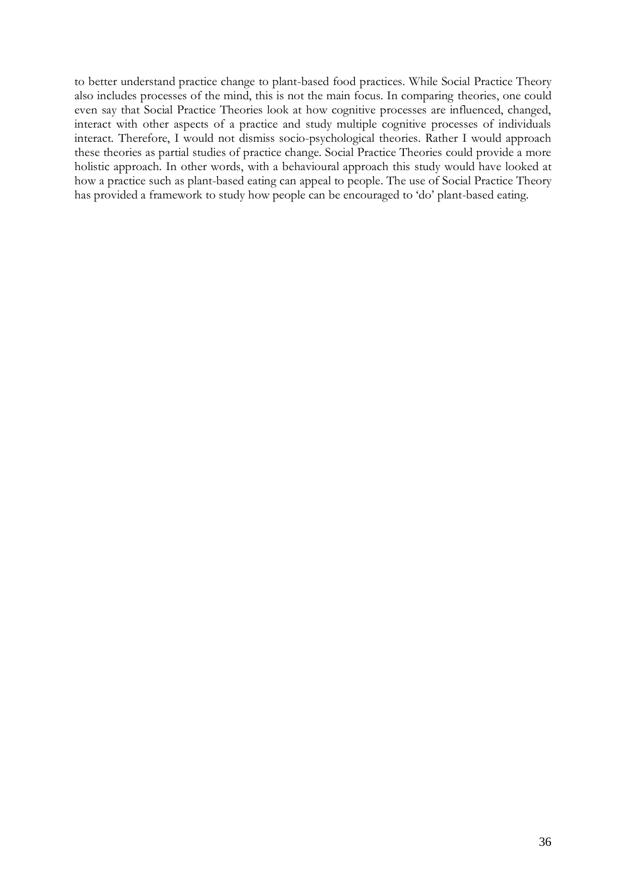to better understand practice change to plant-based food practices. While Social Practice Theory also includes processes of the mind, this is not the main focus. In comparing theories, one could even say that Social Practice Theories look at how cognitive processes are influenced, changed, interact with other aspects of a practice and study multiple cognitive processes of individuals interact. Therefore, I would not dismiss socio-psychological theories. Rather I would approach these theories as partial studies of practice change. Social Practice Theories could provide a more holistic approach. In other words, with a behavioural approach this study would have looked at how a practice such as plant-based eating can appeal to people. The use of Social Practice Theory has provided a framework to study how people can be encouraged to 'do' plant-based eating.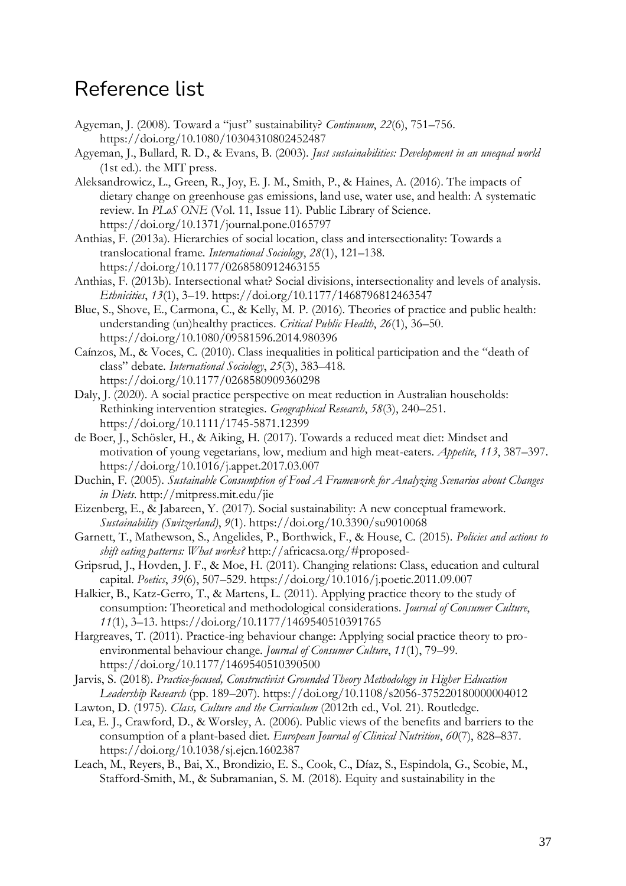## Reference list

- Agyeman, J. (2008). Toward a "just" sustainability? *Continuum*, *22*(6), 751–756. https://doi.org/10.1080/10304310802452487
- Agyeman, J., Bullard, R. D., & Evans, B. (2003). *Just sustainabilities: Development in an unequal world* (1st ed.). the MIT press.
- Aleksandrowicz, L., Green, R., Joy, E. J. M., Smith, P., & Haines, A. (2016). The impacts of dietary change on greenhouse gas emissions, land use, water use, and health: A systematic review. In *PLoS ONE* (Vol. 11, Issue 11). Public Library of Science. https://doi.org/10.1371/journal.pone.0165797
- Anthias, F. (2013a). Hierarchies of social location, class and intersectionality: Towards a translocational frame. *International Sociology*, *28*(1), 121–138. https://doi.org/10.1177/0268580912463155
- Anthias, F. (2013b). Intersectional what? Social divisions, intersectionality and levels of analysis. *Ethnicities*, *13*(1), 3–19. https://doi.org/10.1177/1468796812463547
- Blue, S., Shove, E., Carmona, C., & Kelly, M. P. (2016). Theories of practice and public health: understanding (un)healthy practices. *Critical Public Health*, *26*(1), 36–50. https://doi.org/10.1080/09581596.2014.980396
- Caínzos, M., & Voces, C. (2010). Class inequalities in political participation and the "death of class" debate. *International Sociology*, *25*(3), 383–418. https://doi.org/10.1177/0268580909360298
- Daly, J. (2020). A social practice perspective on meat reduction in Australian households: Rethinking intervention strategies. *Geographical Research*, *58*(3), 240–251. https://doi.org/10.1111/1745-5871.12399
- de Boer, J., Schösler, H., & Aiking, H. (2017). Towards a reduced meat diet: Mindset and motivation of young vegetarians, low, medium and high meat-eaters. *Appetite*, *113*, 387–397. https://doi.org/10.1016/j.appet.2017.03.007
- Duchin, F. (2005). *Sustainable Consumption of Food A Framework for Analyzing Scenarios about Changes in Diets*. http://mitpress.mit.edu/jie
- Eizenberg, E., & Jabareen, Y. (2017). Social sustainability: A new conceptual framework. *Sustainability (Switzerland)*, *9*(1). https://doi.org/10.3390/su9010068
- Garnett, T., Mathewson, S., Angelides, P., Borthwick, F., & House, C. (2015). *Policies and actions to shift eating patterns: What works?* http://africacsa.org/#proposed-
- Gripsrud, J., Hovden, J. F., & Moe, H. (2011). Changing relations: Class, education and cultural capital. *Poetics*, *39*(6), 507–529. https://doi.org/10.1016/j.poetic.2011.09.007
- Halkier, B., Katz-Gerro, T., & Martens, L. (2011). Applying practice theory to the study of consumption: Theoretical and methodological considerations. *Journal of Consumer Culture*, *11*(1), 3–13. https://doi.org/10.1177/1469540510391765
- Hargreaves, T. (2011). Practice-ing behaviour change: Applying social practice theory to proenvironmental behaviour change. *Journal of Consumer Culture*, *11*(1), 79–99. https://doi.org/10.1177/1469540510390500
- Jarvis, S. (2018). *Practice-focused, Constructivist Grounded Theory Methodology in Higher Education Leadership Research* (pp. 189–207). https://doi.org/10.1108/s2056-375220180000004012
- Lawton, D. (1975). *Class, Culture and the Curriculum* (2012th ed., Vol. 21). Routledge.
- Lea, E. J., Crawford, D., & Worsley, A. (2006). Public views of the benefits and barriers to the consumption of a plant-based diet. *European Journal of Clinical Nutrition*, *60*(7), 828–837. https://doi.org/10.1038/sj.ejcn.1602387
- Leach, M., Reyers, B., Bai, X., Brondizio, E. S., Cook, C., Díaz, S., Espindola, G., Scobie, M., Stafford-Smith, M., & Subramanian, S. M. (2018). Equity and sustainability in the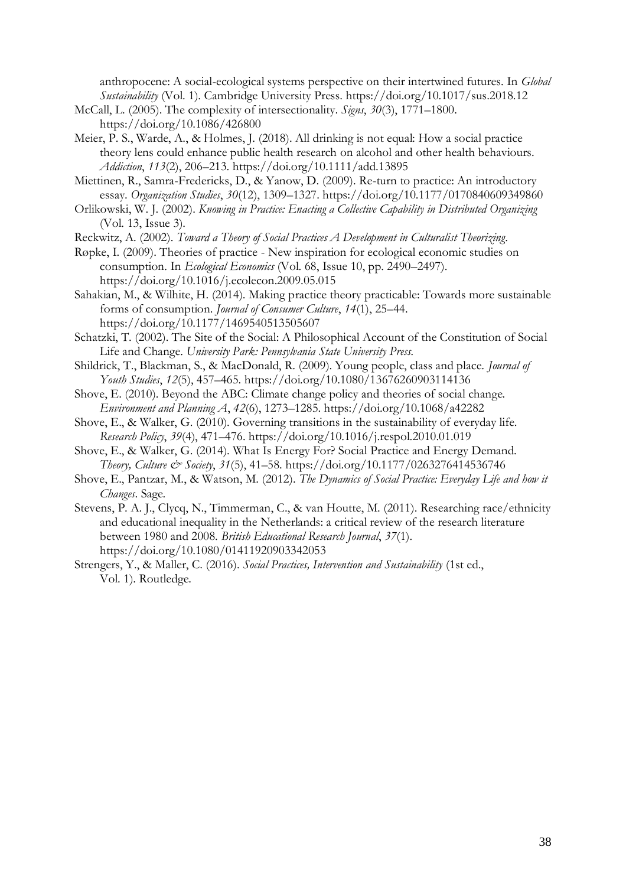anthropocene: A social-ecological systems perspective on their intertwined futures. In *Global Sustainability* (Vol. 1). Cambridge University Press. https://doi.org/10.1017/sus.2018.12

- McCall, L. (2005). The complexity of intersectionality. *Signs*, *30*(3), 1771–1800. https://doi.org/10.1086/426800
- Meier, P. S., Warde, A., & Holmes, J. (2018). All drinking is not equal: How a social practice theory lens could enhance public health research on alcohol and other health behaviours. *Addiction*, *113*(2), 206–213. https://doi.org/10.1111/add.13895
- Miettinen, R., Samra-Fredericks, D., & Yanow, D. (2009). Re-turn to practice: An introductory essay. *Organization Studies*, *30*(12), 1309–1327. https://doi.org/10.1177/0170840609349860
- Orlikowski, W. J. (2002). *Knowing in Practice: Enacting a Collective Capability in Distributed Organizing* (Vol. 13, Issue 3).
- Reckwitz, A. (2002). *Toward a Theory of Social Practices A Development in Culturalist Theorizing*.
- Røpke, I. (2009). Theories of practice New inspiration for ecological economic studies on consumption. In *Ecological Economics* (Vol. 68, Issue 10, pp. 2490–2497). https://doi.org/10.1016/j.ecolecon.2009.05.015
- Sahakian, M., & Wilhite, H. (2014). Making practice theory practicable: Towards more sustainable forms of consumption. *Journal of Consumer Culture*, *14*(1), 25–44. https://doi.org/10.1177/1469540513505607
- Schatzki, T. (2002). The Site of the Social: A Philosophical Account of the Constitution of Social Life and Change. *University Park: Pennsylvania State University Press.*
- Shildrick, T., Blackman, S., & MacDonald, R. (2009). Young people, class and place. *Journal of Youth Studies*, *12*(5), 457–465. https://doi.org/10.1080/13676260903114136
- Shove, E. (2010). Beyond the ABC: Climate change policy and theories of social change. *Environment and Planning A*, *42*(6), 1273–1285. https://doi.org/10.1068/a42282
- Shove, E., & Walker, G. (2010). Governing transitions in the sustainability of everyday life. *Research Policy*, *39*(4), 471–476. https://doi.org/10.1016/j.respol.2010.01.019
- Shove, E., & Walker, G. (2014). What Is Energy For? Social Practice and Energy Demand. *Theory, Culture & Society*, *31*(5), 41–58. https://doi.org/10.1177/0263276414536746
- Shove, E., Pantzar, M., & Watson, M. (2012). *The Dynamics of Social Practice: Everyday Life and how it Changes*. Sage.
- Stevens, P. A. J., Clycq, N., Timmerman, C., & van Houtte, M. (2011). Researching race/ethnicity and educational inequality in the Netherlands: a critical review of the research literature between 1980 and 2008. *British Educational Research Journal*, *37*(1). https://doi.org/10.1080/01411920903342053
- Strengers, Y., & Maller, C. (2016). *Social Practices, Intervention and Sustainability* (1st ed., Vol. 1). Routledge.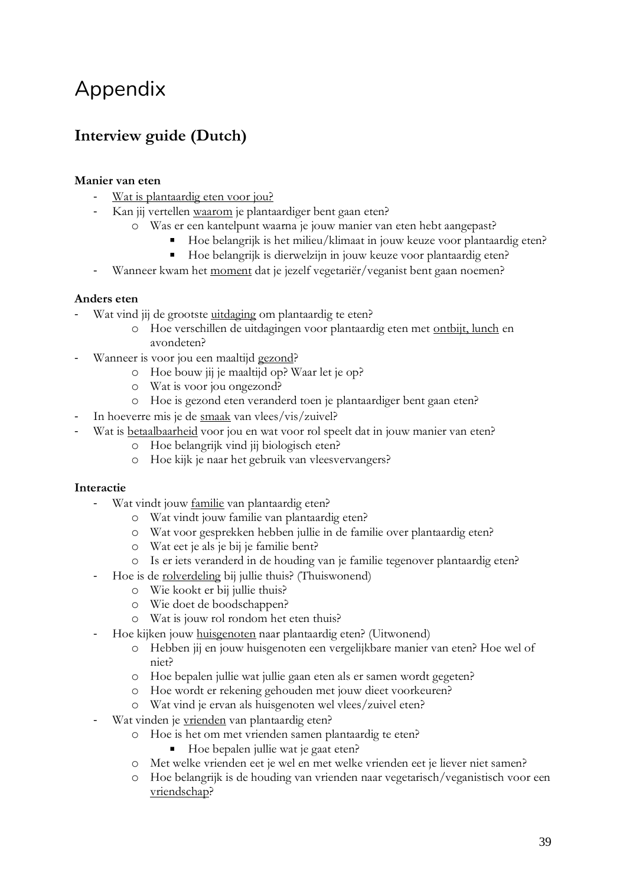## Appendix

## **Interview guide (Dutch)**

## **Manier van eten**

- Wat is plantaardig eten voor jou?
	- Kan jij vertellen waarom je plantaardiger bent gaan eten?
		- o Was er een kantelpunt waarna je jouw manier van eten hebt aangepast?
			- Hoe belangrijk is het milieu/klimaat in jouw keuze voor plantaardig eten?
			- $\mathbf{u}$  . Hoe belangrijk is dierwelzijn in jouw keuze voor plantaardig eten?
- Wanneer kwam het moment dat je jezelf vegetariër/veganist bent gaan noemen?

## **Anders eten**

- Wat vind jij de grootste uitdaging om plantaardig te eten?
	- o Hoe verschillen de uitdagingen voor plantaardig eten met ontbijt, lunch en avondeten?
- Wanneer is voor jou een maaltijd gezond?
	- o Hoe bouw jij je maaltijd op? Waar let je op?
	- o Wat is voor jou ongezond?
	- o Hoe is gezond eten veranderd toen je plantaardiger bent gaan eten?
- In hoeverre mis je de smaak van vlees/vis/zuivel?
- Wat is betaalbaarheid voor jou en wat voor rol speelt dat in jouw manier van eten?
	- o Hoe belangrijk vind jij biologisch eten?
	- o Hoe kijk je naar het gebruik van vleesvervangers?

## **Interactie**

- Wat vindt jouw familie van plantaardig eten?
	- o Wat vindt jouw familie van plantaardig eten?
	- o Wat voor gesprekken hebben jullie in de familie over plantaardig eten?
	- o Wat eet je als je bij je familie bent?
	- o Is er iets veranderd in de houding van je familie tegenover plantaardig eten?
- Hoe is de <u>rolverdeling</u> bij jullie thuis? (Thuiswonend)
	- o Wie kookt er bij jullie thuis?
	- o Wie doet de boodschappen?
	- o Wat is jouw rol rondom het eten thuis?
- Hoe kijken jouw huisgenoten naar plantaardig eten? (Uitwonend)
	- o Hebben jij en jouw huisgenoten een vergelijkbare manier van eten? Hoe wel of niet?
	- o Hoe bepalen jullie wat jullie gaan eten als er samen wordt gegeten?
	- o Hoe wordt er rekening gehouden met jouw dieet voorkeuren?
	- o Wat vind je ervan als huisgenoten wel vlees/zuivel eten?
- Wat vinden je vrienden van plantaardig eten?
	- o Hoe is het om met vrienden samen plantaardig te eten?
		- Hoe bepalen jullie wat je gaat eten?
	- o Met welke vrienden eet je wel en met welke vrienden eet je liever niet samen?
	- o Hoe belangrijk is de houding van vrienden naar vegetarisch/veganistisch voor een vriendschap?